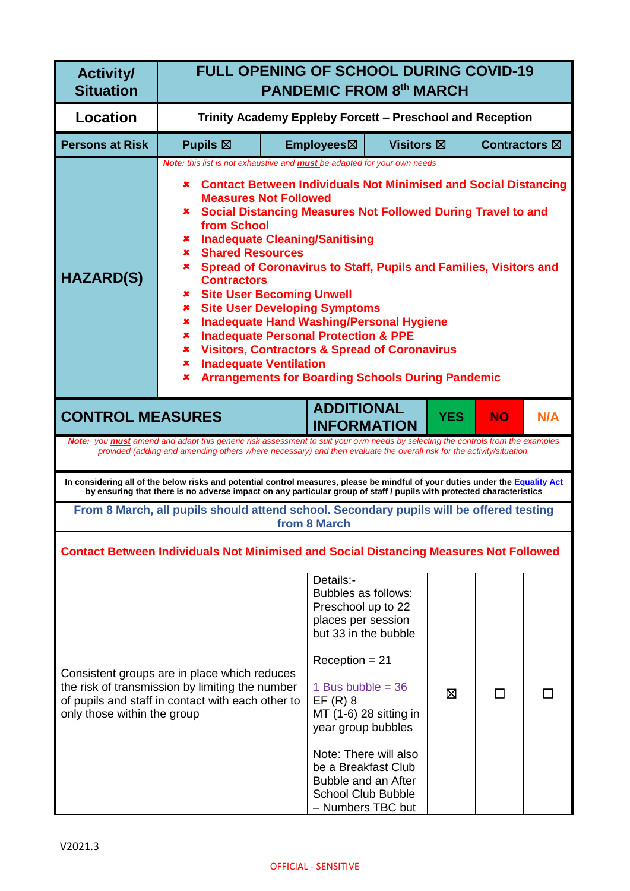| <b>Activity/</b><br><b>Situation</b>                                                                                                                                                                                                                                                | <b>FULL OPENING OF SCHOOL DURING COVID-19</b><br><b>PANDEMIC FROM 8th MARCH</b>                                                                                                                                                                                                                                                                                                                                                                                                                                                                                                                                                                                                                                                                                                                                                                                                       |                                                                                                                                                                                                                                                                                    |                                                 |                   |            |                      |     |
|-------------------------------------------------------------------------------------------------------------------------------------------------------------------------------------------------------------------------------------------------------------------------------------|---------------------------------------------------------------------------------------------------------------------------------------------------------------------------------------------------------------------------------------------------------------------------------------------------------------------------------------------------------------------------------------------------------------------------------------------------------------------------------------------------------------------------------------------------------------------------------------------------------------------------------------------------------------------------------------------------------------------------------------------------------------------------------------------------------------------------------------------------------------------------------------|------------------------------------------------------------------------------------------------------------------------------------------------------------------------------------------------------------------------------------------------------------------------------------|-------------------------------------------------|-------------------|------------|----------------------|-----|
| <b>Location</b>                                                                                                                                                                                                                                                                     | Trinity Academy Eppleby Forcett - Preschool and Reception                                                                                                                                                                                                                                                                                                                                                                                                                                                                                                                                                                                                                                                                                                                                                                                                                             |                                                                                                                                                                                                                                                                                    |                                                 |                   |            |                      |     |
| <b>Persons at Risk</b>                                                                                                                                                                                                                                                              | <b>Pupils <math>\boxtimes</math></b>                                                                                                                                                                                                                                                                                                                                                                                                                                                                                                                                                                                                                                                                                                                                                                                                                                                  |                                                                                                                                                                                                                                                                                    | Employees⊠                                      | <b>Visitors</b> ⊠ |            | <b>Contractors</b> ⊠ |     |
| <b>HAZARD(S)</b>                                                                                                                                                                                                                                                                    | <b>Note:</b> this list is not exhaustive and <b>must</b> be adapted for your own needs<br><b>Contact Between Individuals Not Minimised and Social Distancing</b><br>×<br><b>Measures Not Followed</b><br><b>* Social Distancing Measures Not Followed During Travel to and</b><br>from School<br><b>*</b> Inadequate Cleaning/Sanitising<br><b>*</b> Shared Resources<br>Spread of Coronavirus to Staff, Pupils and Families, Visitors and<br>×.<br><b>Contractors</b><br><b>* Site User Becoming Unwell</b><br><b>Site User Developing Symptoms</b><br>$\pmb{\times}$<br><b>Inadequate Hand Washing/Personal Hygiene</b><br>×<br><b>Inadequate Personal Protection &amp; PPE</b><br>×.<br><b>Visitors, Contractors &amp; Spread of Coronavirus</b><br>$\mathbf x$ .<br><b>Inadequate Ventilation</b><br>$\mathbf x$<br><b>Arrangements for Boarding Schools During Pandemic</b><br>× |                                                                                                                                                                                                                                                                                    |                                                 |                   |            |                      |     |
| <b>CONTROL MEASURES</b>                                                                                                                                                                                                                                                             |                                                                                                                                                                                                                                                                                                                                                                                                                                                                                                                                                                                                                                                                                                                                                                                                                                                                                       |                                                                                                                                                                                                                                                                                    | <b>ADDITIONAL</b><br><b>INFORMATION</b>         |                   | <b>YES</b> | <b>NO</b>            | N/A |
|                                                                                                                                                                                                                                                                                     | Note: you <b>must</b> amend and adapt this generic risk assessment to suit your own needs by selecting the controls from the examples<br>provided (adding and amending others where necessary) and then evaluate the overall risk for the activity/situation.                                                                                                                                                                                                                                                                                                                                                                                                                                                                                                                                                                                                                         |                                                                                                                                                                                                                                                                                    |                                                 |                   |            |                      |     |
|                                                                                                                                                                                                                                                                                     | In considering all of the below risks and potential control measures, please be mindful of your duties under the Equality Act<br>by ensuring that there is no adverse impact on any particular group of staff / pupils with protected characteristics                                                                                                                                                                                                                                                                                                                                                                                                                                                                                                                                                                                                                                 |                                                                                                                                                                                                                                                                                    |                                                 |                   |            |                      |     |
|                                                                                                                                                                                                                                                                                     | From 8 March, all pupils should attend school. Secondary pupils will be offered testing                                                                                                                                                                                                                                                                                                                                                                                                                                                                                                                                                                                                                                                                                                                                                                                               |                                                                                                                                                                                                                                                                                    | from 8 March                                    |                   |            |                      |     |
|                                                                                                                                                                                                                                                                                     |                                                                                                                                                                                                                                                                                                                                                                                                                                                                                                                                                                                                                                                                                                                                                                                                                                                                                       |                                                                                                                                                                                                                                                                                    |                                                 |                   |            |                      |     |
| <b>Contact Between Individuals Not Minimised and Social Distancing Measures Not Followed</b><br>Consistent groups are in place which reduces<br>the risk of transmission by limiting the number<br>of pupils and staff in contact with each other to<br>only those within the group |                                                                                                                                                                                                                                                                                                                                                                                                                                                                                                                                                                                                                                                                                                                                                                                                                                                                                       | Details:-<br>Bubbles as follows:<br>Preschool up to 22<br>places per session<br>but 33 in the bubble<br>$Reception = 21$<br>1 Bus bubble = $36$<br>$EF(R)$ 8<br>year group bubbles<br>be a Breakfast Club<br>Bubble and an After<br><b>School Club Bubble</b><br>- Numbers TBC but | MT (1-6) 28 sitting in<br>Note: There will also | ⊠                 |            |                      |     |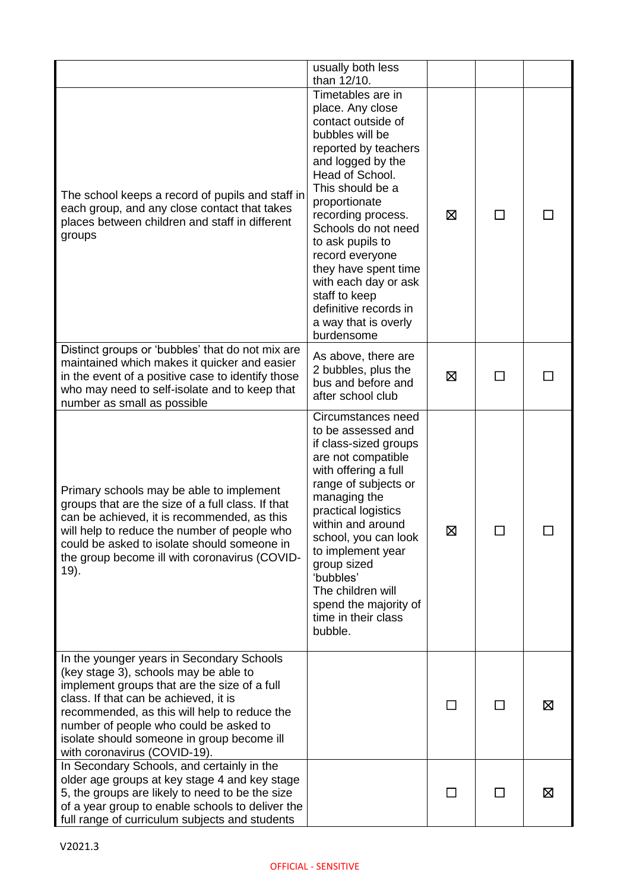|                                                                                                                                                                                                                                                                                                                                                     | usually both less                                                                                                                                                                                                                                                                                                                                                                                       |         |              |   |
|-----------------------------------------------------------------------------------------------------------------------------------------------------------------------------------------------------------------------------------------------------------------------------------------------------------------------------------------------------|---------------------------------------------------------------------------------------------------------------------------------------------------------------------------------------------------------------------------------------------------------------------------------------------------------------------------------------------------------------------------------------------------------|---------|--------------|---|
|                                                                                                                                                                                                                                                                                                                                                     | than 12/10.                                                                                                                                                                                                                                                                                                                                                                                             |         |              |   |
| The school keeps a record of pupils and staff in<br>each group, and any close contact that takes<br>places between children and staff in different<br>groups                                                                                                                                                                                        | Timetables are in<br>place. Any close<br>contact outside of<br>bubbles will be<br>reported by teachers<br>and logged by the<br>Head of School.<br>This should be a<br>proportionate<br>recording process.<br>Schools do not need<br>to ask pupils to<br>record everyone<br>they have spent time<br>with each day or ask<br>staff to keep<br>definitive records in<br>a way that is overly<br>burdensome | ⊠       | $\mathbf{I}$ |   |
| Distinct groups or 'bubbles' that do not mix are<br>maintained which makes it quicker and easier<br>in the event of a positive case to identify those<br>who may need to self-isolate and to keep that<br>number as small as possible                                                                                                               | As above, there are<br>2 bubbles, plus the<br>bus and before and<br>after school club                                                                                                                                                                                                                                                                                                                   | ⊠       |              |   |
| Primary schools may be able to implement<br>groups that are the size of a full class. If that<br>can be achieved, it is recommended, as this<br>will help to reduce the number of people who<br>could be asked to isolate should someone in<br>the group become ill with coronavirus (COVID-<br>19).                                                | Circumstances need<br>to be assessed and<br>if class-sized groups<br>are not compatible<br>with offering a full<br>range of subjects or<br>managing the<br>practical logistics<br>within and around<br>school, you can look<br>to implement year<br>group sized<br>'bubbles'<br>The children will<br>spend the majority of<br>time in their class<br>bubble.                                            | ⊠       |              |   |
| In the younger years in Secondary Schools<br>(key stage 3), schools may be able to<br>implement groups that are the size of a full<br>class. If that can be achieved, it is<br>recommended, as this will help to reduce the<br>number of people who could be asked to<br>isolate should someone in group become ill<br>with coronavirus (COVID-19). |                                                                                                                                                                                                                                                                                                                                                                                                         |         |              | ⊠ |
| In Secondary Schools, and certainly in the<br>older age groups at key stage 4 and key stage<br>5, the groups are likely to need to be the size<br>of a year group to enable schools to deliver the<br>full range of curriculum subjects and students                                                                                                |                                                                                                                                                                                                                                                                                                                                                                                                         | $\perp$ | $\mathsf{L}$ | ⊠ |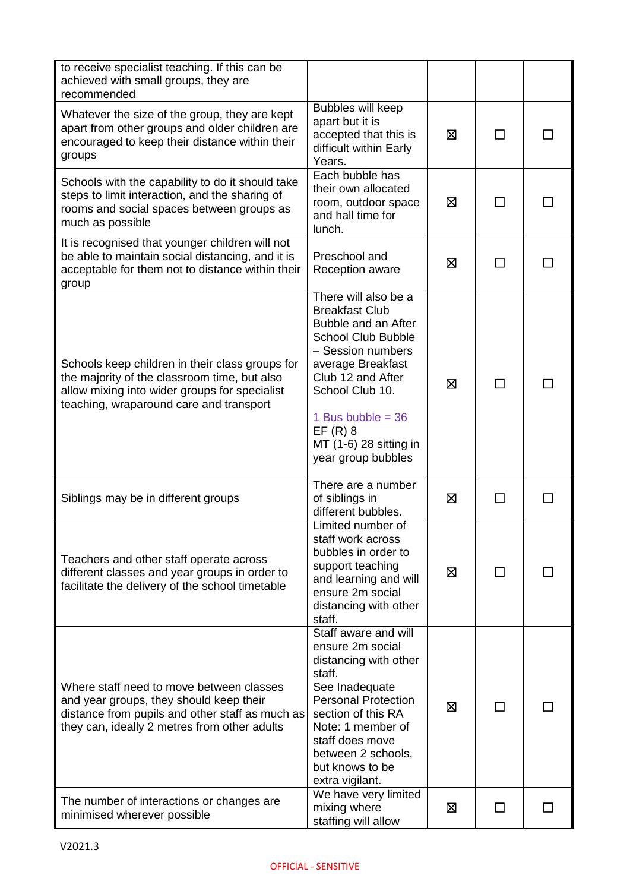| to receive specialist teaching. If this can be<br>achieved with small groups, they are<br>recommended                                                                                       |                                                                                                                                                                                                                                                                         |   |              |  |
|---------------------------------------------------------------------------------------------------------------------------------------------------------------------------------------------|-------------------------------------------------------------------------------------------------------------------------------------------------------------------------------------------------------------------------------------------------------------------------|---|--------------|--|
| Whatever the size of the group, they are kept<br>apart from other groups and older children are<br>encouraged to keep their distance within their<br>groups                                 | Bubbles will keep<br>apart but it is<br>accepted that this is<br>difficult within Early<br>Years.                                                                                                                                                                       | ⊠ |              |  |
| Schools with the capability to do it should take<br>steps to limit interaction, and the sharing of<br>rooms and social spaces between groups as<br>much as possible                         | Each bubble has<br>their own allocated<br>room, outdoor space<br>and hall time for<br>lunch.                                                                                                                                                                            | ⊠ |              |  |
| It is recognised that younger children will not<br>be able to maintain social distancing, and it is<br>acceptable for them not to distance within their<br>group                            | Preschool and<br>Reception aware                                                                                                                                                                                                                                        | ⊠ |              |  |
| Schools keep children in their class groups for<br>the majority of the classroom time, but also<br>allow mixing into wider groups for specialist<br>teaching, wraparound care and transport | There will also be a<br><b>Breakfast Club</b><br>Bubble and an After<br><b>School Club Bubble</b><br>- Session numbers<br>average Breakfast<br>Club 12 and After<br>School Club 10.<br>1 Bus bubble = $36$<br>$EF(R)$ 8<br>MT (1-6) 28 sitting in<br>year group bubbles | ⊠ |              |  |
| Siblings may be in different groups                                                                                                                                                         | There are a number<br>of siblings in<br>different bubbles.                                                                                                                                                                                                              | ⊠ | П            |  |
| Teachers and other staff operate across<br>different classes and year groups in order to<br>facilitate the delivery of the school timetable                                                 | Limited number of<br>staff work across<br>bubbles in order to<br>support teaching<br>and learning and will<br>ensure 2m social<br>distancing with other<br>staff.                                                                                                       | ⊠ | ΙI           |  |
| Where staff need to move between classes<br>and year groups, they should keep their<br>distance from pupils and other staff as much as<br>they can, ideally 2 metres from other adults      | Staff aware and will<br>ensure 2m social<br>distancing with other<br>staff.<br>See Inadequate<br><b>Personal Protection</b><br>section of this RA<br>Note: 1 member of<br>staff does move<br>between 2 schools,<br>but knows to be<br>extra vigilant.                   | ⊠ | $\mathsf{L}$ |  |
| The number of interactions or changes are<br>minimised wherever possible                                                                                                                    | We have very limited<br>mixing where<br>staffing will allow                                                                                                                                                                                                             | 区 | П            |  |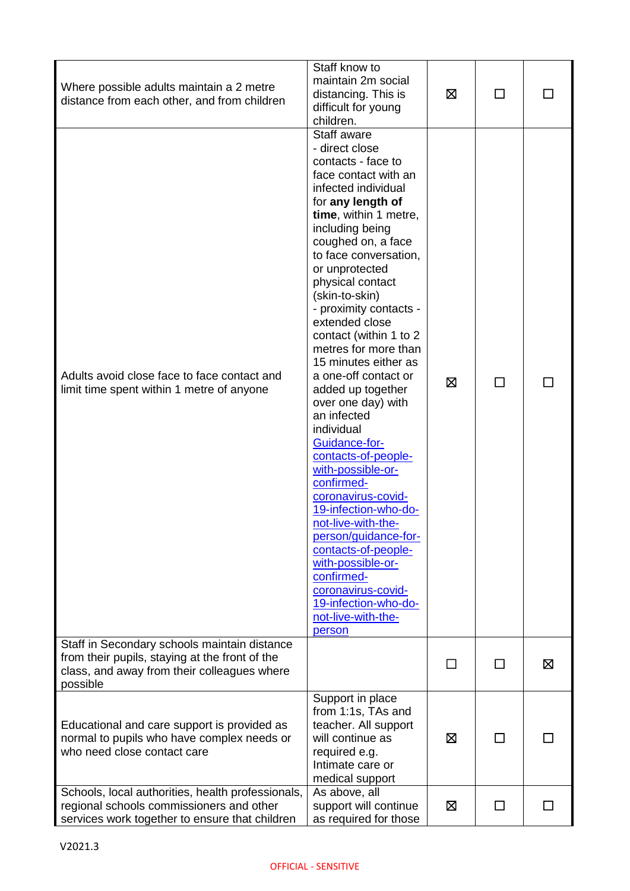| Where possible adults maintain a 2 metre<br>distance from each other, and from children                                                                   | Staff know to<br>maintain 2m social<br>distancing. This is<br>difficult for young<br>children.                                                                                                                                                                                                                                                                                                                                                                                                                                                                                                                                                                                                                                                                                                                  | ⊠       | П            |   |
|-----------------------------------------------------------------------------------------------------------------------------------------------------------|-----------------------------------------------------------------------------------------------------------------------------------------------------------------------------------------------------------------------------------------------------------------------------------------------------------------------------------------------------------------------------------------------------------------------------------------------------------------------------------------------------------------------------------------------------------------------------------------------------------------------------------------------------------------------------------------------------------------------------------------------------------------------------------------------------------------|---------|--------------|---|
| Adults avoid close face to face contact and<br>limit time spent within 1 metre of anyone                                                                  | Staff aware<br>- direct close<br>contacts - face to<br>face contact with an<br>infected individual<br>for any length of<br>time, within 1 metre,<br>including being<br>coughed on, a face<br>to face conversation,<br>or unprotected<br>physical contact<br>(skin-to-skin)<br>- proximity contacts -<br>extended close<br>contact (within 1 to 2<br>metres for more than<br>15 minutes either as<br>a one-off contact or<br>added up together<br>over one day) with<br>an infected<br>individual<br>Guidance-for-<br>contacts-of-people-<br>with-possible-or-<br>confirmed-<br>coronavirus-covid-<br>19-infection-who-do-<br>not-live-with-the-<br>person/guidance-for-<br>contacts-of-people-<br>with-possible-or-<br>confirmed-<br>coronavirus-covid-<br>19-infection-who-do-<br>not-live-with-the-<br>person | ⊠       | $\mathsf{L}$ |   |
| Staff in Secondary schools maintain distance<br>from their pupils, staying at the front of the<br>class, and away from their colleagues where<br>possible |                                                                                                                                                                                                                                                                                                                                                                                                                                                                                                                                                                                                                                                                                                                                                                                                                 | $\perp$ | П            | 区 |
| Educational and care support is provided as<br>normal to pupils who have complex needs or<br>who need close contact care                                  | Support in place<br>from 1:1s, TAs and<br>teacher. All support<br>will continue as<br>required e.g.<br>Intimate care or<br>medical support                                                                                                                                                                                                                                                                                                                                                                                                                                                                                                                                                                                                                                                                      | ⊠       |              |   |
| Schools, local authorities, health professionals,<br>regional schools commissioners and other<br>services work together to ensure that children           | As above, all<br>support will continue<br>as required for those                                                                                                                                                                                                                                                                                                                                                                                                                                                                                                                                                                                                                                                                                                                                                 | ⊠       | ΙI           |   |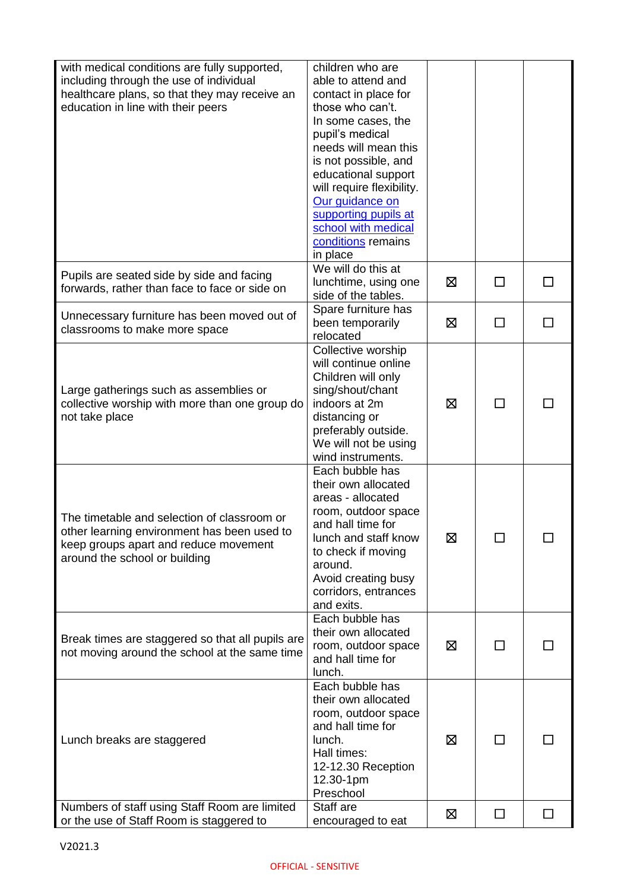| with medical conditions are fully supported,<br>including through the use of individual<br>healthcare plans, so that they may receive an<br>education in line with their peers | children who are<br>able to attend and<br>contact in place for<br>those who can't.<br>In some cases, the<br>pupil's medical<br>needs will mean this<br>is not possible, and<br>educational support<br>will require flexibility.<br>Our guidance on<br>supporting pupils at<br>school with medical<br>conditions remains<br>in place |   |              |  |
|--------------------------------------------------------------------------------------------------------------------------------------------------------------------------------|-------------------------------------------------------------------------------------------------------------------------------------------------------------------------------------------------------------------------------------------------------------------------------------------------------------------------------------|---|--------------|--|
| Pupils are seated side by side and facing<br>forwards, rather than face to face or side on                                                                                     | We will do this at<br>lunchtime, using one<br>side of the tables.                                                                                                                                                                                                                                                                   | ⊠ | П            |  |
| Unnecessary furniture has been moved out of<br>classrooms to make more space                                                                                                   | Spare furniture has<br>been temporarily<br>relocated                                                                                                                                                                                                                                                                                | ⊠ | П            |  |
| Large gatherings such as assemblies or<br>collective worship with more than one group do<br>not take place                                                                     | Collective worship<br>will continue online<br>Children will only<br>sing/shout/chant<br>indoors at 2m<br>distancing or<br>preferably outside.<br>We will not be using<br>wind instruments.                                                                                                                                          | ⊠ | ΙI           |  |
| The timetable and selection of classroom or<br>other learning environment has been used to<br>keep groups apart and reduce movement<br>around the school or building           | Each bubble has<br>their own allocated<br>areas - allocated<br>room, outdoor space<br>and hall time for<br>lunch and staff know<br>to check if moving<br>around.<br>Avoid creating busy<br>corridors, entrances<br>and exits.                                                                                                       | ⊠ |              |  |
| Break times are staggered so that all pupils are<br>not moving around the school at the same time                                                                              | Each bubble has<br>their own allocated<br>room, outdoor space<br>and hall time for<br>lunch.                                                                                                                                                                                                                                        | ⊠ | $\Box$       |  |
| Lunch breaks are staggered                                                                                                                                                     | Each bubble has<br>their own allocated<br>room, outdoor space<br>and hall time for<br>lunch.<br>Hall times:<br>12-12.30 Reception<br>12.30-1pm<br>Preschool                                                                                                                                                                         | ⊠ | $\mathsf{L}$ |  |
| Numbers of staff using Staff Room are limited<br>or the use of Staff Room is staggered to                                                                                      | Staff are<br>encouraged to eat                                                                                                                                                                                                                                                                                                      | ⊠ | П            |  |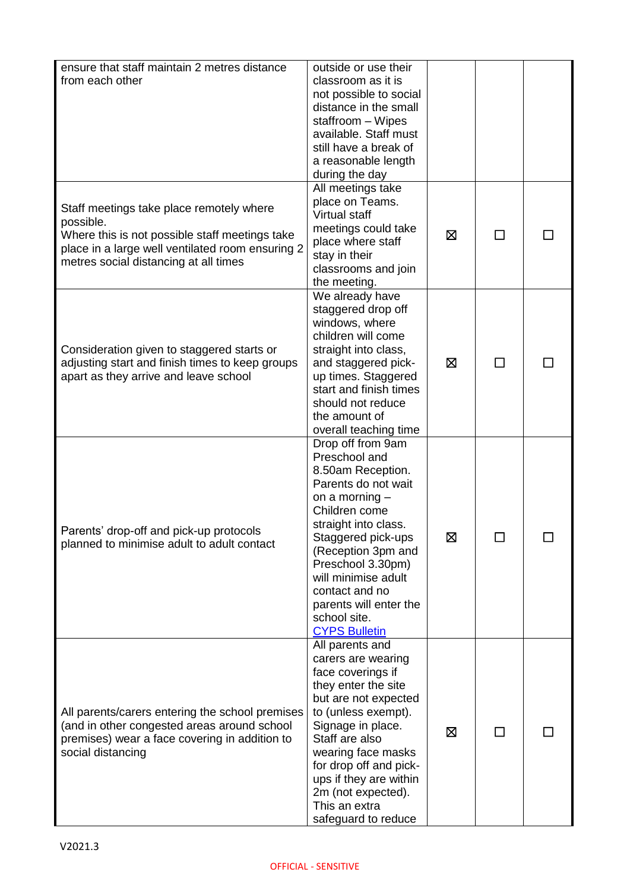| ensure that staff maintain 2 metres distance<br>from each other                                                                                                                                      | outside or use their<br>classroom as it is<br>not possible to social<br>distance in the small<br>staffroom - Wipes<br>available. Staff must<br>still have a break of<br>a reasonable length<br>during the day                                                                                                           |   |              |  |
|------------------------------------------------------------------------------------------------------------------------------------------------------------------------------------------------------|-------------------------------------------------------------------------------------------------------------------------------------------------------------------------------------------------------------------------------------------------------------------------------------------------------------------------|---|--------------|--|
| Staff meetings take place remotely where<br>possible.<br>Where this is not possible staff meetings take<br>place in a large well ventilated room ensuring 2<br>metres social distancing at all times | All meetings take<br>place on Teams.<br>Virtual staff<br>meetings could take<br>place where staff<br>stay in their<br>classrooms and join<br>the meeting.                                                                                                                                                               | 区 | ΙI           |  |
| Consideration given to staggered starts or<br>adjusting start and finish times to keep groups<br>apart as they arrive and leave school                                                               | We already have<br>staggered drop off<br>windows, where<br>children will come<br>straight into class,<br>and staggered pick-<br>up times. Staggered<br>start and finish times<br>should not reduce<br>the amount of<br>overall teaching time                                                                            | ⊠ | ΙI           |  |
| Parents' drop-off and pick-up protocols<br>planned to minimise adult to adult contact                                                                                                                | Drop off from 9am<br>Preschool and<br>8.50am Reception.<br>Parents do not wait<br>on a morning $-$<br>Children come<br>straight into class.<br>Staggered pick-ups<br>(Reception 3pm and<br>Preschool 3.30pm)<br>will minimise adult<br>contact and no<br>parents will enter the<br>school site.<br><b>CYPS Bulletin</b> | 区 | $\mathsf{L}$ |  |
| All parents/carers entering the school premises<br>(and in other congested areas around school<br>premises) wear a face covering in addition to<br>social distancing                                 | All parents and<br>carers are wearing<br>face coverings if<br>they enter the site<br>but are not expected<br>to (unless exempt).<br>Signage in place.<br>Staff are also<br>wearing face masks<br>for drop off and pick-<br>ups if they are within<br>2m (not expected).<br>This an extra<br>safeguard to reduce         | ⊠ | ΙI           |  |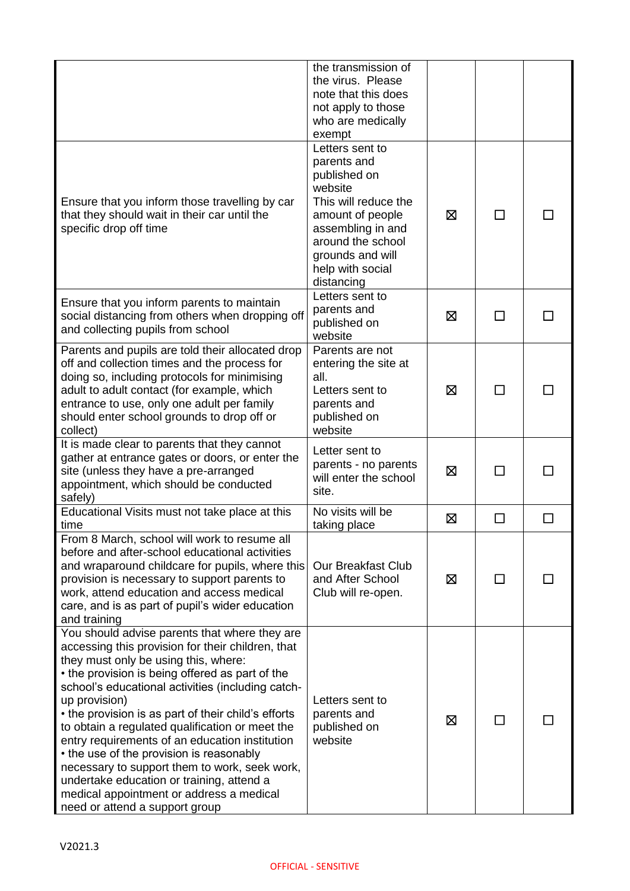|                                                                                                                                                                                                                                                                                                                                                                                                                                                                                                                                                                                                                                                         | the transmission of<br>the virus. Please<br>note that this does<br>not apply to those<br>who are medically<br>exempt                                                                                  |   |                             |  |
|---------------------------------------------------------------------------------------------------------------------------------------------------------------------------------------------------------------------------------------------------------------------------------------------------------------------------------------------------------------------------------------------------------------------------------------------------------------------------------------------------------------------------------------------------------------------------------------------------------------------------------------------------------|-------------------------------------------------------------------------------------------------------------------------------------------------------------------------------------------------------|---|-----------------------------|--|
| Ensure that you inform those travelling by car<br>that they should wait in their car until the<br>specific drop off time                                                                                                                                                                                                                                                                                                                                                                                                                                                                                                                                | Letters sent to<br>parents and<br>published on<br>website<br>This will reduce the<br>amount of people<br>assembling in and<br>around the school<br>grounds and will<br>help with social<br>distancing | ⊠ | П                           |  |
| Ensure that you inform parents to maintain<br>social distancing from others when dropping off<br>and collecting pupils from school                                                                                                                                                                                                                                                                                                                                                                                                                                                                                                                      | Letters sent to<br>parents and<br>published on<br>website                                                                                                                                             | ⊠ | П                           |  |
| Parents and pupils are told their allocated drop<br>off and collection times and the process for<br>doing so, including protocols for minimising<br>adult to adult contact (for example, which<br>entrance to use, only one adult per family<br>should enter school grounds to drop off or<br>collect)                                                                                                                                                                                                                                                                                                                                                  | Parents are not<br>entering the site at<br>all.<br>Letters sent to<br>parents and<br>published on<br>website                                                                                          | ⊠ | $\mathcal{L}_{\mathcal{A}}$ |  |
| It is made clear to parents that they cannot<br>gather at entrance gates or doors, or enter the<br>site (unless they have a pre-arranged<br>appointment, which should be conducted<br>safely)                                                                                                                                                                                                                                                                                                                                                                                                                                                           | Letter sent to<br>parents - no parents<br>will enter the school<br>site.                                                                                                                              | ⊠ |                             |  |
| Educational Visits must not take place at this<br>time                                                                                                                                                                                                                                                                                                                                                                                                                                                                                                                                                                                                  | No visits will be<br>taking place                                                                                                                                                                     | ⊠ | П                           |  |
| From 8 March, school will work to resume all<br>before and after-school educational activities<br>and wraparound childcare for pupils, where this<br>provision is necessary to support parents to<br>work, attend education and access medical<br>care, and is as part of pupil's wider education<br>and training                                                                                                                                                                                                                                                                                                                                       | <b>Our Breakfast Club</b><br>and After School<br>Club will re-open.                                                                                                                                   | ⊠ |                             |  |
| You should advise parents that where they are<br>accessing this provision for their children, that<br>they must only be using this, where:<br>• the provision is being offered as part of the<br>school's educational activities (including catch-<br>up provision)<br>• the provision is as part of their child's efforts<br>to obtain a regulated qualification or meet the<br>entry requirements of an education institution<br>• the use of the provision is reasonably<br>necessary to support them to work, seek work,<br>undertake education or training, attend a<br>medical appointment or address a medical<br>need or attend a support group | Letters sent to<br>parents and<br>published on<br>website                                                                                                                                             | ⊠ |                             |  |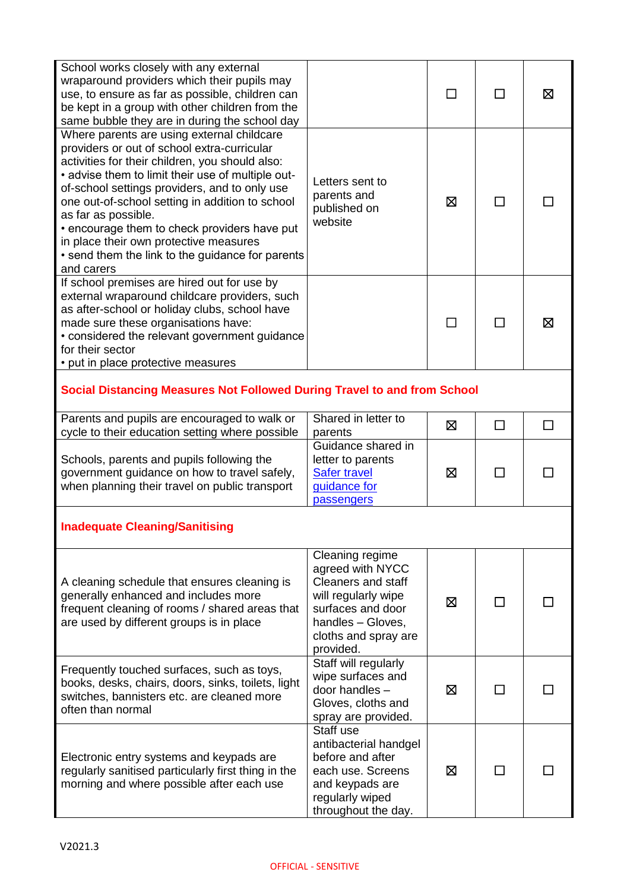| School works closely with any external<br>wraparound providers which their pupils may<br>use, to ensure as far as possible, children can<br>be kept in a group with other children from the<br>same bubble they are in during the school day                                                                                                                                                                                                                                             |                                                                                                                                                                        |   | $\mathsf{L}$ | ⊠ |  |
|------------------------------------------------------------------------------------------------------------------------------------------------------------------------------------------------------------------------------------------------------------------------------------------------------------------------------------------------------------------------------------------------------------------------------------------------------------------------------------------|------------------------------------------------------------------------------------------------------------------------------------------------------------------------|---|--------------|---|--|
| Where parents are using external childcare<br>providers or out of school extra-curricular<br>activities for their children, you should also:<br>• advise them to limit their use of multiple out-<br>of-school settings providers, and to only use<br>one out-of-school setting in addition to school<br>as far as possible.<br>• encourage them to check providers have put<br>in place their own protective measures<br>• send them the link to the guidance for parents<br>and carers | Letters sent to<br>parents and<br>published on<br>website                                                                                                              | ⊠ | <b>I</b>     |   |  |
| If school premises are hired out for use by<br>external wraparound childcare providers, such<br>as after-school or holiday clubs, school have<br>made sure these organisations have:<br>• considered the relevant government guidance<br>for their sector<br>• put in place protective measures                                                                                                                                                                                          |                                                                                                                                                                        |   |              | ⊠ |  |
| Social Distancing Measures Not Followed During Travel to and from School                                                                                                                                                                                                                                                                                                                                                                                                                 |                                                                                                                                                                        |   |              |   |  |
| Parents and pupils are encouraged to walk or<br>cycle to their education setting where possible                                                                                                                                                                                                                                                                                                                                                                                          | Shared in letter to<br>parents                                                                                                                                         | 区 | П            |   |  |
| Schools, parents and pupils following the<br>government guidance on how to travel safely,<br>when planning their travel on public transport                                                                                                                                                                                                                                                                                                                                              | Guidance shared in<br>letter to parents<br><b>Safer travel</b><br>guidance for<br>passengers                                                                           | ⊠ | П            |   |  |
| <b>Inadequate Cleaning/Sanitising</b>                                                                                                                                                                                                                                                                                                                                                                                                                                                    |                                                                                                                                                                        |   |              |   |  |
| A cleaning schedule that ensures cleaning is<br>generally enhanced and includes more<br>frequent cleaning of rooms / shared areas that<br>are used by different groups is in place                                                                                                                                                                                                                                                                                                       | Cleaning regime<br>agreed with NYCC<br><b>Cleaners and staff</b><br>will regularly wipe<br>surfaces and door<br>handles - Gloves,<br>cloths and spray are<br>provided. | ⊠ |              |   |  |
| Frequently touched surfaces, such as toys,<br>books, desks, chairs, doors, sinks, toilets, light<br>switches, bannisters etc. are cleaned more<br>often than normal                                                                                                                                                                                                                                                                                                                      | Staff will regularly<br>wipe surfaces and<br>door handles -<br>Gloves, cloths and<br>spray are provided.                                                               | ⊠ |              |   |  |
| Electronic entry systems and keypads are<br>regularly sanitised particularly first thing in the<br>morning and where possible after each use                                                                                                                                                                                                                                                                                                                                             | Staff use<br>antibacterial handgel<br>before and after<br>each use. Screens<br>and keypads are<br>regularly wiped<br>throughout the day.                               | ⊠ |              |   |  |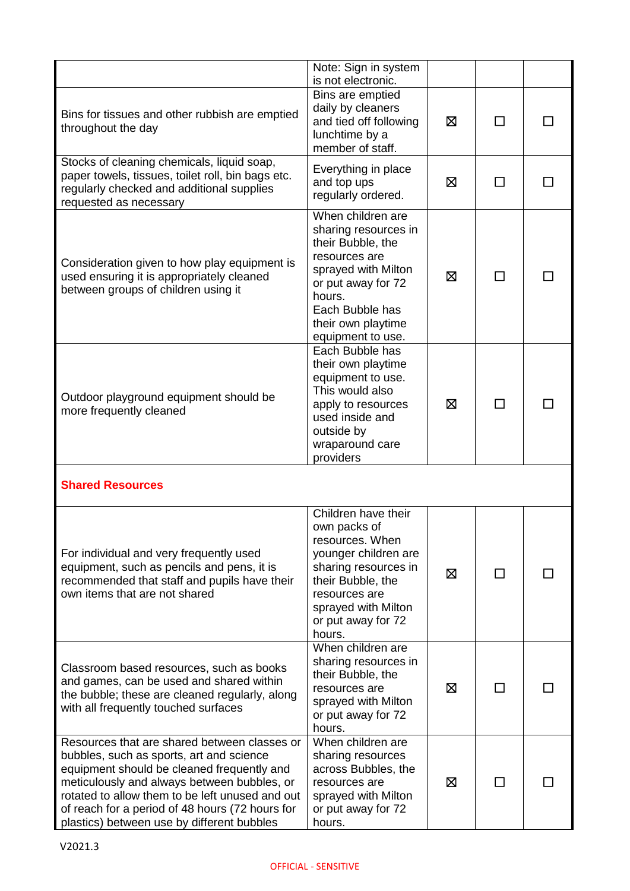|                                                                                                                                                                                                                                                                                                                                           | Note: Sign in system<br>is not electronic.                                                                                                                                                           |   |    |  |
|-------------------------------------------------------------------------------------------------------------------------------------------------------------------------------------------------------------------------------------------------------------------------------------------------------------------------------------------|------------------------------------------------------------------------------------------------------------------------------------------------------------------------------------------------------|---|----|--|
| Bins for tissues and other rubbish are emptied<br>throughout the day                                                                                                                                                                                                                                                                      | Bins are emptied<br>daily by cleaners<br>and tied off following<br>lunchtime by a<br>member of staff.                                                                                                | ⊠ |    |  |
| Stocks of cleaning chemicals, liquid soap,<br>paper towels, tissues, toilet roll, bin bags etc.<br>regularly checked and additional supplies<br>requested as necessary                                                                                                                                                                    | Everything in place<br>and top ups<br>regularly ordered.                                                                                                                                             | ⊠ | П  |  |
| Consideration given to how play equipment is<br>used ensuring it is appropriately cleaned<br>between groups of children using it                                                                                                                                                                                                          | When children are<br>sharing resources in<br>their Bubble, the<br>resources are<br>sprayed with Milton<br>or put away for 72<br>hours.<br>Each Bubble has<br>their own playtime<br>equipment to use. | ⊠ | ΙI |  |
| Outdoor playground equipment should be<br>more frequently cleaned                                                                                                                                                                                                                                                                         | Each Bubble has<br>their own playtime<br>equipment to use.<br>This would also<br>apply to resources<br>used inside and<br>outside by<br>wraparound care<br>providers                                 | ⊠ | П  |  |
| <b>Shared Resources</b>                                                                                                                                                                                                                                                                                                                   |                                                                                                                                                                                                      |   |    |  |
| For individual and very frequently used<br>equipment, such as pencils and pens, it is<br>recommended that staff and pupils have their<br>own items that are not shared                                                                                                                                                                    | Children have their<br>own packs of<br>resources. When<br>younger children are<br>sharing resources in<br>their Bubble, the<br>resources are<br>sprayed with Milton<br>or put away for 72<br>hours.  | ⊠ | ΙI |  |
| Classroom based resources, such as books<br>and games, can be used and shared within<br>the bubble; these are cleaned regularly, along<br>with all frequently touched surfaces                                                                                                                                                            | When children are<br>sharing resources in<br>their Bubble, the<br>resources are<br>sprayed with Milton<br>or put away for 72<br>hours.                                                               | ⊠ | ΙI |  |
| Resources that are shared between classes or<br>bubbles, such as sports, art and science<br>equipment should be cleaned frequently and<br>meticulously and always between bubbles, or<br>rotated to allow them to be left unused and out<br>of reach for a period of 48 hours (72 hours for<br>plastics) between use by different bubbles | When children are<br>sharing resources<br>across Bubbles, the<br>resources are<br>sprayed with Milton<br>or put away for 72<br>hours.                                                                | ⊠ |    |  |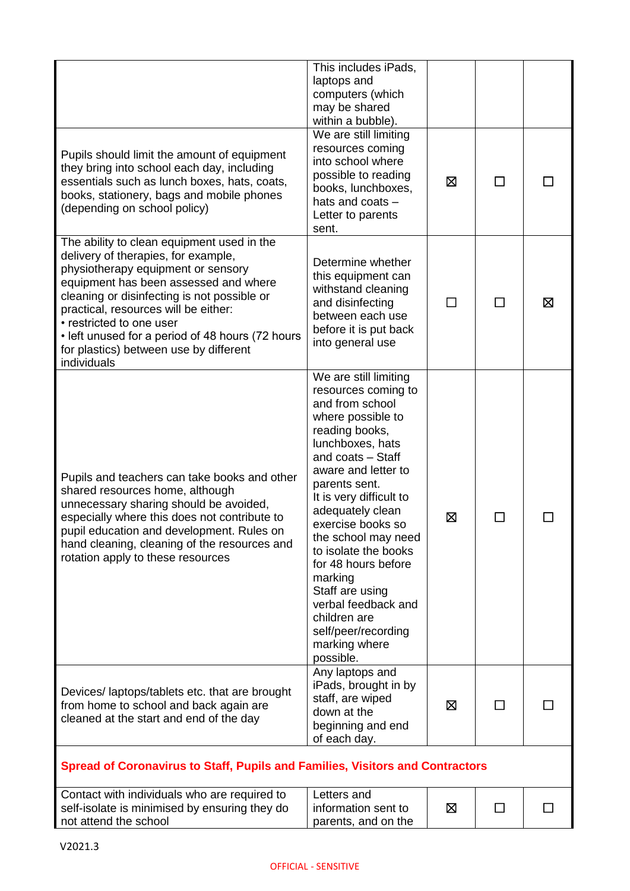|                                                                                                                                                                                                                                                                                                                                                                                                  | This includes iPads,<br>laptops and<br>computers (which<br>may be shared<br>within a bubble).                                                                                                                                                                                                                                                                                                                                                               |   |              |   |
|--------------------------------------------------------------------------------------------------------------------------------------------------------------------------------------------------------------------------------------------------------------------------------------------------------------------------------------------------------------------------------------------------|-------------------------------------------------------------------------------------------------------------------------------------------------------------------------------------------------------------------------------------------------------------------------------------------------------------------------------------------------------------------------------------------------------------------------------------------------------------|---|--------------|---|
| Pupils should limit the amount of equipment<br>they bring into school each day, including<br>essentials such as lunch boxes, hats, coats,<br>books, stationery, bags and mobile phones<br>(depending on school policy)                                                                                                                                                                           | We are still limiting<br>resources coming<br>into school where<br>possible to reading<br>books, lunchboxes,<br>hats and coats -<br>Letter to parents<br>sent.                                                                                                                                                                                                                                                                                               | ⊠ | ΙI           |   |
| The ability to clean equipment used in the<br>delivery of therapies, for example,<br>physiotherapy equipment or sensory<br>equipment has been assessed and where<br>cleaning or disinfecting is not possible or<br>practical, resources will be either:<br>• restricted to one user<br>• left unused for a period of 48 hours (72 hours<br>for plastics) between use by different<br>individuals | Determine whether<br>this equipment can<br>withstand cleaning<br>and disinfecting<br>between each use<br>before it is put back<br>into general use                                                                                                                                                                                                                                                                                                          | П | П            | ⊠ |
| Pupils and teachers can take books and other<br>shared resources home, although<br>unnecessary sharing should be avoided,<br>especially where this does not contribute to<br>pupil education and development. Rules on<br>hand cleaning, cleaning of the resources and<br>rotation apply to these resources                                                                                      | We are still limiting<br>resources coming to<br>and from school<br>where possible to<br>reading books,<br>lunchboxes, hats<br>and coats - Staff<br>aware and letter to<br>parents sent.<br>It is very difficult to<br>adequately clean<br>exercise books so<br>the school may need<br>to isolate the books<br>for 48 hours before<br>marking<br>Staff are using<br>verbal feedback and<br>children are<br>self/peer/recording<br>marking where<br>possible. | ⊠ | $\mathbf{I}$ |   |
| Devices/laptops/tablets etc. that are brought<br>from home to school and back again are<br>cleaned at the start and end of the day                                                                                                                                                                                                                                                               | Any laptops and<br>iPads, brought in by<br>staff, are wiped<br>down at the<br>beginning and end<br>of each day.                                                                                                                                                                                                                                                                                                                                             | ⊠ |              |   |
| <b>Spread of Coronavirus to Staff, Pupils and Families, Visitors and Contractors</b>                                                                                                                                                                                                                                                                                                             |                                                                                                                                                                                                                                                                                                                                                                                                                                                             |   |              |   |
| Contact with individuals who are required to<br>self-isolate is minimised by ensuring they do<br>not attend the school                                                                                                                                                                                                                                                                           | Letters and<br>information sent to<br>parents, and on the                                                                                                                                                                                                                                                                                                                                                                                                   | ⊠ | П            |   |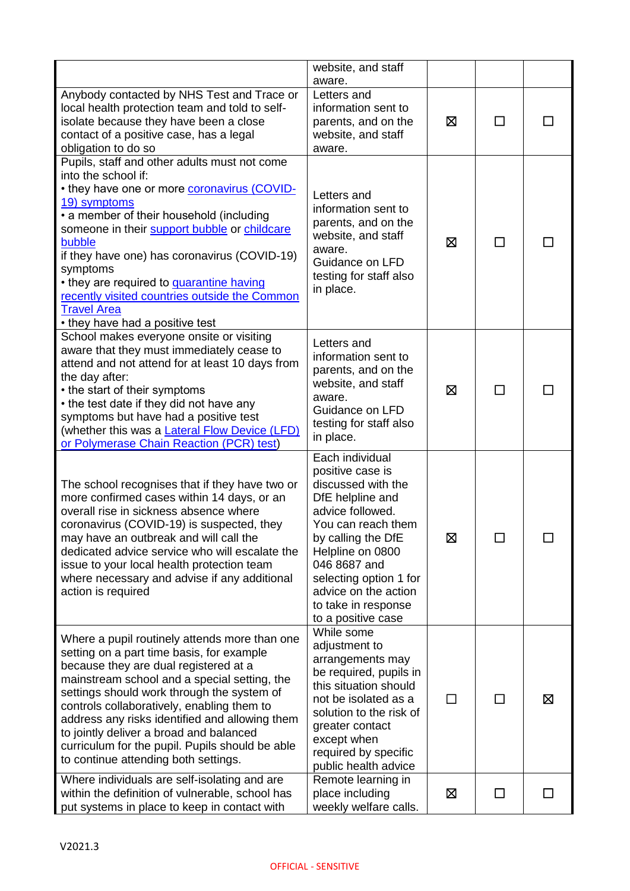|                                                                                                                                                                                                                                                                                                                                                                                                                                                                          | website, and staff<br>aware.                                                                                                                                                                                                                                                     |   |              |   |
|--------------------------------------------------------------------------------------------------------------------------------------------------------------------------------------------------------------------------------------------------------------------------------------------------------------------------------------------------------------------------------------------------------------------------------------------------------------------------|----------------------------------------------------------------------------------------------------------------------------------------------------------------------------------------------------------------------------------------------------------------------------------|---|--------------|---|
| Anybody contacted by NHS Test and Trace or<br>local health protection team and told to self-<br>isolate because they have been a close<br>contact of a positive case, has a legal<br>obligation to do so                                                                                                                                                                                                                                                                 | Letters and<br>information sent to<br>parents, and on the<br>website, and staff<br>aware.                                                                                                                                                                                        | ⊠ | П            |   |
| Pupils, staff and other adults must not come<br>into the school if:<br>. they have one or more <b>coronavirus (COVID-</b><br>19) symptoms<br>• a member of their household (including<br>someone in their support bubble or childcare<br>bubble<br>if they have one) has coronavirus (COVID-19)<br>symptoms<br>• they are required to <b>quarantine having</b><br>recently visited countries outside the Common<br><b>Travel Area</b><br>• they have had a positive test | Letters and<br>information sent to<br>parents, and on the<br>website, and staff<br>aware.<br>Guidance on LFD<br>testing for staff also<br>in place.                                                                                                                              | ⊠ | $\mathbf{I}$ |   |
| School makes everyone onsite or visiting<br>aware that they must immediately cease to<br>attend and not attend for at least 10 days from<br>the day after:<br>• the start of their symptoms<br>• the test date if they did not have any<br>symptoms but have had a positive test<br>(whether this was a Lateral Flow Device (LFD)<br>or Polymerase Chain Reaction (PCR) test)                                                                                            | Letters and<br>information sent to<br>parents, and on the<br>website, and staff<br>aware.<br>Guidance on LFD<br>testing for staff also<br>in place.                                                                                                                              | ⊠ | П            |   |
| The school recognises that if they have two or<br>more confirmed cases within 14 days, or an<br>overall rise in sickness absence where<br>coronavirus (COVID-19) is suspected, they<br>may have an outbreak and will call the<br>dedicated advice service who will escalate the<br>issue to your local health protection team<br>where necessary and advise if any additional<br>action is required                                                                      | Each individual<br>positive case is<br>discussed with the<br>DfE helpline and<br>advice followed.<br>You can reach them<br>by calling the DfE<br>Helpline on 0800<br>046 8687 and<br>selecting option 1 for<br>advice on the action<br>to take in response<br>to a positive case | 区 |              |   |
| Where a pupil routinely attends more than one<br>setting on a part time basis, for example<br>because they are dual registered at a<br>mainstream school and a special setting, the<br>settings should work through the system of<br>controls collaboratively, enabling them to<br>address any risks identified and allowing them<br>to jointly deliver a broad and balanced<br>curriculum for the pupil. Pupils should be able<br>to continue attending both settings.  | While some<br>adjustment to<br>arrangements may<br>be required, pupils in<br>this situation should<br>not be isolated as a<br>solution to the risk of<br>greater contact<br>except when<br>required by specific<br>public health advice                                          |   | $\Box$       | ⊠ |
| Where individuals are self-isolating and are<br>within the definition of vulnerable, school has<br>put systems in place to keep in contact with                                                                                                                                                                                                                                                                                                                          | Remote learning in<br>place including<br>weekly welfare calls.                                                                                                                                                                                                                   | ⊠ | ΙI           |   |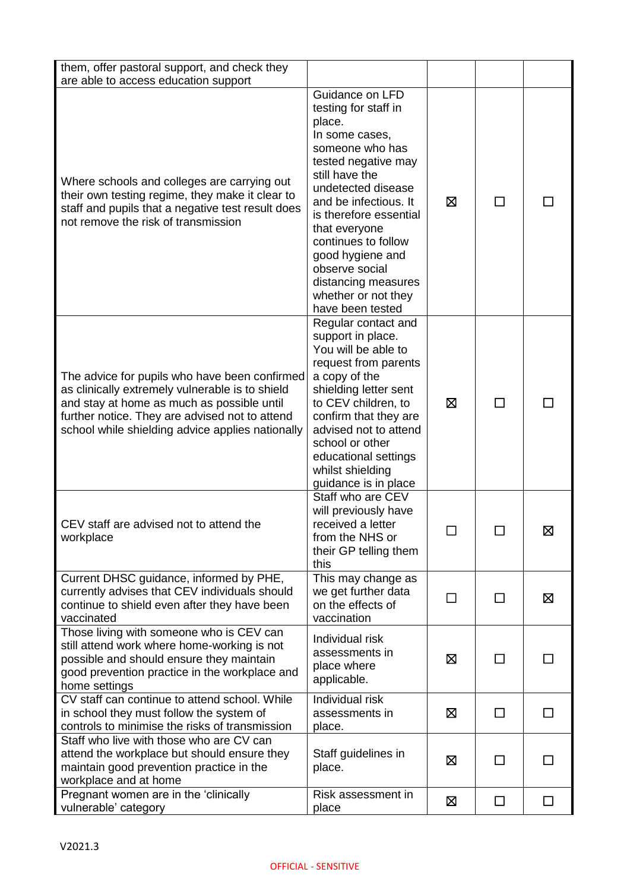| them, offer pastoral support, and check they<br>are able to access education support                                                                                                                                                                 |                                                                                                                                                                                                                                                                                                                                                          |   |        |              |
|------------------------------------------------------------------------------------------------------------------------------------------------------------------------------------------------------------------------------------------------------|----------------------------------------------------------------------------------------------------------------------------------------------------------------------------------------------------------------------------------------------------------------------------------------------------------------------------------------------------------|---|--------|--------------|
| Where schools and colleges are carrying out<br>their own testing regime, they make it clear to<br>staff and pupils that a negative test result does<br>not remove the risk of transmission                                                           | Guidance on LFD<br>testing for staff in<br>place.<br>In some cases,<br>someone who has<br>tested negative may<br>still have the<br>undetected disease<br>and be infectious. It<br>is therefore essential<br>that everyone<br>continues to follow<br>good hygiene and<br>observe social<br>distancing measures<br>whether or not they<br>have been tested | ⊠ | $\Box$ |              |
| The advice for pupils who have been confirmed<br>as clinically extremely vulnerable is to shield<br>and stay at home as much as possible until<br>further notice. They are advised not to attend<br>school while shielding advice applies nationally | Regular contact and<br>support in place.<br>You will be able to<br>request from parents<br>a copy of the<br>shielding letter sent<br>to CEV children, to<br>confirm that they are<br>advised not to attend<br>school or other<br>educational settings<br>whilst shielding<br>guidance is in place                                                        | ⊠ | ΙI     |              |
| CEV staff are advised not to attend the<br>workplace                                                                                                                                                                                                 | Staff who are CEV<br>will previously have<br>received a letter<br>from the NHS or<br>their GP telling them<br>this                                                                                                                                                                                                                                       |   |        | ⊠            |
| Current DHSC guidance, informed by PHE,<br>currently advises that CEV individuals should<br>continue to shield even after they have been<br>vaccinated                                                                                               | This may change as<br>we get further data<br>on the effects of<br>vaccination                                                                                                                                                                                                                                                                            |   | П      | 区            |
| Those living with someone who is CEV can<br>still attend work where home-working is not<br>possible and should ensure they maintain<br>good prevention practice in the workplace and<br>home settings                                                | Individual risk<br>assessments in<br>place where<br>applicable.                                                                                                                                                                                                                                                                                          | ⊠ | □      | $\mathsf{L}$ |
| CV staff can continue to attend school. While<br>in school they must follow the system of<br>controls to minimise the risks of transmission                                                                                                          | Individual risk<br>assessments in<br>place.                                                                                                                                                                                                                                                                                                              | ⊠ | □      | $\Box$       |
| Staff who live with those who are CV can<br>attend the workplace but should ensure they<br>maintain good prevention practice in the<br>workplace and at home                                                                                         | Staff guidelines in<br>place.                                                                                                                                                                                                                                                                                                                            | ⊠ | $\Box$ | П            |
| Pregnant women are in the 'clinically<br>vulnerable' category                                                                                                                                                                                        | Risk assessment in<br>place                                                                                                                                                                                                                                                                                                                              | ⊠ | $\Box$ | $\Box$       |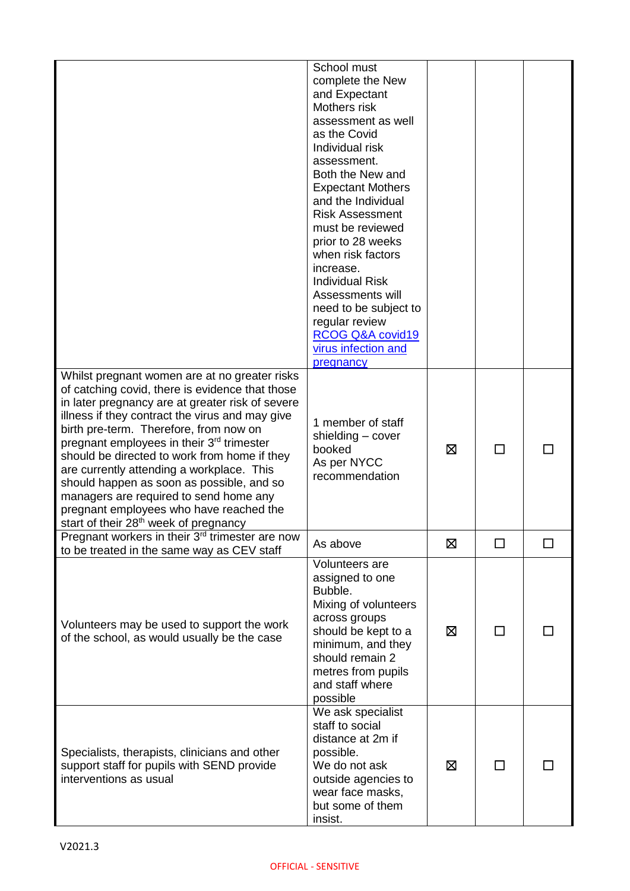|                                                                                                                                                                                                                                                                                                                                                                                                                                                                                                                                                                                                | School must<br>complete the New<br>and Expectant<br>Mothers risk<br>assessment as well<br>as the Covid<br>Individual risk<br>assessment.<br>Both the New and<br><b>Expectant Mothers</b><br>and the Individual<br><b>Risk Assessment</b><br>must be reviewed<br>prior to 28 weeks<br>when risk factors<br>increase.<br><b>Individual Risk</b><br>Assessments will<br>need to be subject to<br>regular review<br>RCOG Q&A covid19<br>virus infection and<br>pregnancy |   |              |  |
|------------------------------------------------------------------------------------------------------------------------------------------------------------------------------------------------------------------------------------------------------------------------------------------------------------------------------------------------------------------------------------------------------------------------------------------------------------------------------------------------------------------------------------------------------------------------------------------------|----------------------------------------------------------------------------------------------------------------------------------------------------------------------------------------------------------------------------------------------------------------------------------------------------------------------------------------------------------------------------------------------------------------------------------------------------------------------|---|--------------|--|
| Whilst pregnant women are at no greater risks<br>of catching covid, there is evidence that those<br>in later pregnancy are at greater risk of severe<br>illness if they contract the virus and may give<br>birth pre-term. Therefore, from now on<br>pregnant employees in their 3 <sup>rd</sup> trimester<br>should be directed to work from home if they<br>are currently attending a workplace. This<br>should happen as soon as possible, and so<br>managers are required to send home any<br>pregnant employees who have reached the<br>start of their 28 <sup>th</sup> week of pregnancy | 1 member of staff<br>shielding - cover<br>booked<br>As per NYCC<br>recommendation                                                                                                                                                                                                                                                                                                                                                                                    | ⊠ | П            |  |
| Pregnant workers in their 3 <sup>rd</sup> trimester are now<br>to be treated in the same way as CEV staff                                                                                                                                                                                                                                                                                                                                                                                                                                                                                      | As above                                                                                                                                                                                                                                                                                                                                                                                                                                                             | ⊠ | $\Box$       |  |
| Volunteers may be used to support the work<br>of the school, as would usually be the case                                                                                                                                                                                                                                                                                                                                                                                                                                                                                                      | Volunteers are<br>assigned to one<br>Bubble.<br>Mixing of volunteers<br>across groups<br>should be kept to a<br>minimum, and they<br>should remain 2<br>metres from pupils<br>and staff where<br>possible                                                                                                                                                                                                                                                            | ⊠ | $\mathsf{L}$ |  |
| Specialists, therapists, clinicians and other<br>support staff for pupils with SEND provide<br>interventions as usual                                                                                                                                                                                                                                                                                                                                                                                                                                                                          | We ask specialist<br>staff to social<br>distance at 2m if<br>possible.<br>We do not ask<br>outside agencies to<br>wear face masks,<br>but some of them<br>insist.                                                                                                                                                                                                                                                                                                    | ⊠ | $\mathsf{L}$ |  |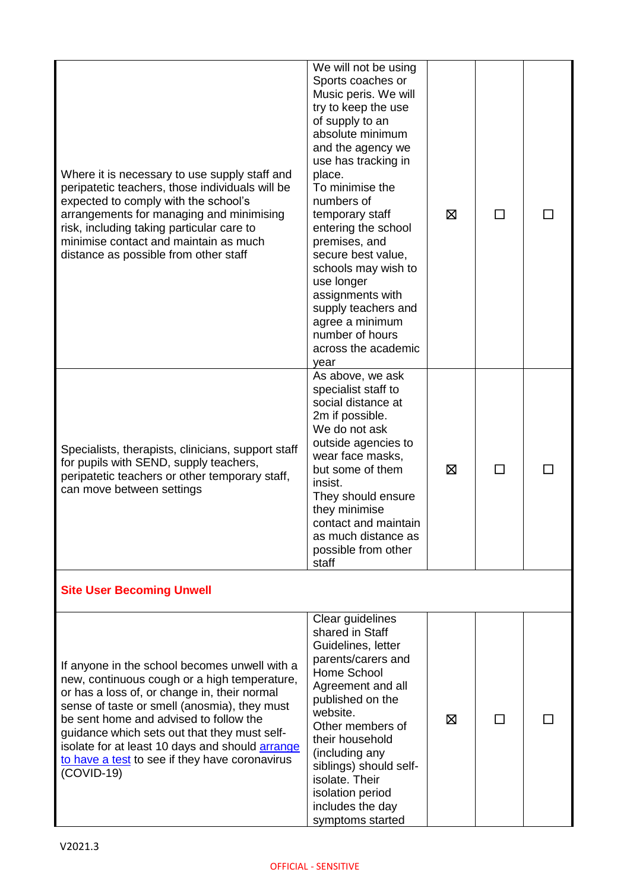| Where it is necessary to use supply staff and<br>peripatetic teachers, those individuals will be<br>expected to comply with the school's<br>arrangements for managing and minimising<br>risk, including taking particular care to<br>minimise contact and maintain as much<br>distance as possible from other staff                                                                                          | We will not be using<br>Sports coaches or<br>Music peris. We will<br>try to keep the use<br>of supply to an<br>absolute minimum<br>and the agency we<br>use has tracking in<br>place.<br>To minimise the<br>numbers of<br>temporary staff<br>entering the school<br>premises, and<br>secure best value,<br>schools may wish to<br>use longer<br>assignments with<br>supply teachers and<br>agree a minimum<br>number of hours<br>across the academic<br>year | ⊠ | $\Box$ |  |
|--------------------------------------------------------------------------------------------------------------------------------------------------------------------------------------------------------------------------------------------------------------------------------------------------------------------------------------------------------------------------------------------------------------|--------------------------------------------------------------------------------------------------------------------------------------------------------------------------------------------------------------------------------------------------------------------------------------------------------------------------------------------------------------------------------------------------------------------------------------------------------------|---|--------|--|
| Specialists, therapists, clinicians, support staff<br>for pupils with SEND, supply teachers,<br>peripatetic teachers or other temporary staff,<br>can move between settings                                                                                                                                                                                                                                  | As above, we ask<br>specialist staff to<br>social distance at<br>2m if possible.<br>We do not ask<br>outside agencies to<br>wear face masks,<br>but some of them<br>insist.<br>They should ensure<br>they minimise<br>contact and maintain<br>as much distance as<br>possible from other<br>staff                                                                                                                                                            | ⊠ |        |  |
| <b>Site User Becoming Unwell</b>                                                                                                                                                                                                                                                                                                                                                                             |                                                                                                                                                                                                                                                                                                                                                                                                                                                              |   |        |  |
| If anyone in the school becomes unwell with a<br>new, continuous cough or a high temperature,<br>or has a loss of, or change in, their normal<br>sense of taste or smell (anosmia), they must<br>be sent home and advised to follow the<br>guidance which sets out that they must self-<br>isolate for at least 10 days and should arrange<br>to have a test to see if they have coronavirus<br>$(COVID-19)$ | Clear guidelines<br>shared in Staff<br>Guidelines, letter<br>parents/carers and<br>Home School<br>Agreement and all<br>published on the<br>website.<br>Other members of<br>their household<br>(including any<br>siblings) should self-<br>isolate. Their<br>isolation period<br>includes the day<br>symptoms started                                                                                                                                         | ⊠ | ΙI     |  |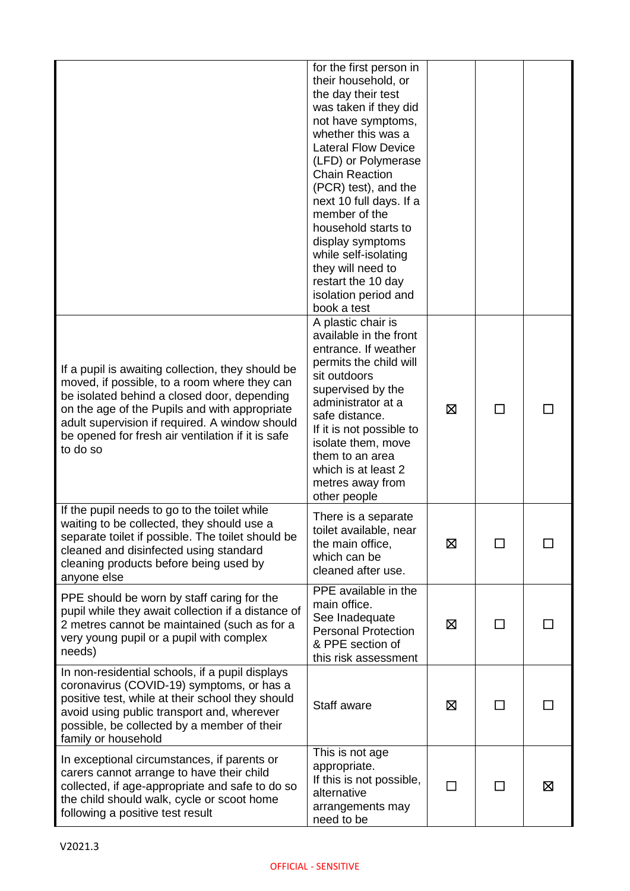|                                                                                                                                                                                                                                                                                                                      | for the first person in<br>their household, or<br>the day their test<br>was taken if they did<br>not have symptoms,<br>whether this was a<br><b>Lateral Flow Device</b><br>(LFD) or Polymerase<br><b>Chain Reaction</b><br>(PCR) test), and the<br>next 10 full days. If a<br>member of the<br>household starts to<br>display symptoms<br>while self-isolating<br>they will need to<br>restart the 10 day<br>isolation period and<br>book a test |    |              |   |
|----------------------------------------------------------------------------------------------------------------------------------------------------------------------------------------------------------------------------------------------------------------------------------------------------------------------|--------------------------------------------------------------------------------------------------------------------------------------------------------------------------------------------------------------------------------------------------------------------------------------------------------------------------------------------------------------------------------------------------------------------------------------------------|----|--------------|---|
| If a pupil is awaiting collection, they should be<br>moved, if possible, to a room where they can<br>be isolated behind a closed door, depending<br>on the age of the Pupils and with appropriate<br>adult supervision if required. A window should<br>be opened for fresh air ventilation if it is safe<br>to do so | A plastic chair is<br>available in the front<br>entrance. If weather<br>permits the child will<br>sit outdoors<br>supervised by the<br>administrator at a<br>safe distance.<br>If it is not possible to<br>isolate them, move<br>them to an area<br>which is at least 2<br>metres away from<br>other people                                                                                                                                      | ⊠  | $\Box$       |   |
| If the pupil needs to go to the toilet while<br>waiting to be collected, they should use a<br>separate toilet if possible. The toilet should be<br>cleaned and disinfected using standard<br>cleaning products before being used by<br>anyone else                                                                   | There is a separate<br>toilet available, near<br>the main office,<br>which can be<br>cleaned after use.                                                                                                                                                                                                                                                                                                                                          | 区  | $\mathsf{L}$ |   |
| PPE should be worn by staff caring for the<br>pupil while they await collection if a distance of<br>2 metres cannot be maintained (such as for a<br>very young pupil or a pupil with complex<br>needs)                                                                                                               | PPE available in the<br>main office.<br>See Inadequate<br><b>Personal Protection</b><br>& PPE section of<br>this risk assessment                                                                                                                                                                                                                                                                                                                 | ⊠  |              |   |
| In non-residential schools, if a pupil displays<br>coronavirus (COVID-19) symptoms, or has a<br>positive test, while at their school they should<br>avoid using public transport and, wherever<br>possible, be collected by a member of their<br>family or household                                                 | Staff aware                                                                                                                                                                                                                                                                                                                                                                                                                                      | ⊠  | ΙI           |   |
| In exceptional circumstances, if parents or<br>carers cannot arrange to have their child<br>collected, if age-appropriate and safe to do so<br>the child should walk, cycle or scoot home<br>following a positive test result                                                                                        | This is not age<br>appropriate.<br>If this is not possible,<br>alternative<br>arrangements may<br>need to be                                                                                                                                                                                                                                                                                                                                     | ΙI | $\mathsf{L}$ | ⊠ |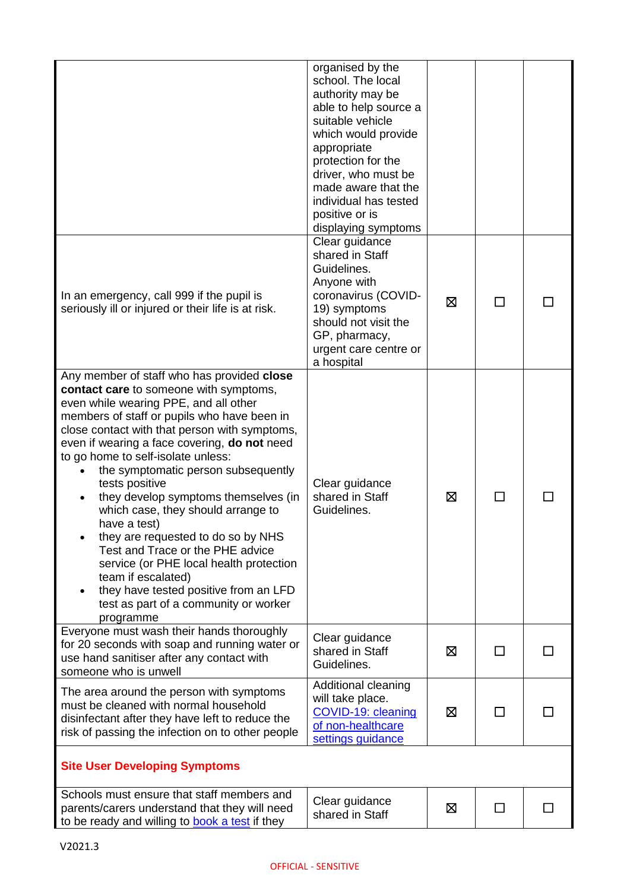|                                                                                                                                                                                                                                                                                                                                                                                                                                                                                                                                                                                                                                                                                                                      | organised by the<br>school. The local<br>authority may be<br>able to help source a<br>suitable vehicle<br>which would provide<br>appropriate<br>protection for the<br>driver, who must be<br>made aware that the<br>individual has tested<br>positive or is<br>displaying symptoms |   |              |  |
|----------------------------------------------------------------------------------------------------------------------------------------------------------------------------------------------------------------------------------------------------------------------------------------------------------------------------------------------------------------------------------------------------------------------------------------------------------------------------------------------------------------------------------------------------------------------------------------------------------------------------------------------------------------------------------------------------------------------|------------------------------------------------------------------------------------------------------------------------------------------------------------------------------------------------------------------------------------------------------------------------------------|---|--------------|--|
| In an emergency, call 999 if the pupil is<br>seriously ill or injured or their life is at risk.                                                                                                                                                                                                                                                                                                                                                                                                                                                                                                                                                                                                                      | Clear guidance<br>shared in Staff<br>Guidelines.<br>Anyone with<br>coronavirus (COVID-<br>19) symptoms<br>should not visit the<br>GP, pharmacy,<br>urgent care centre or<br>a hospital                                                                                             | ⊠ | $\mathbf{I}$ |  |
| Any member of staff who has provided close<br>contact care to someone with symptoms,<br>even while wearing PPE, and all other<br>members of staff or pupils who have been in<br>close contact with that person with symptoms,<br>even if wearing a face covering, do not need<br>to go home to self-isolate unless:<br>the symptomatic person subsequently<br>tests positive<br>they develop symptoms themselves (in<br>which case, they should arrange to<br>have a test)<br>they are requested to do so by NHS<br>Test and Trace or the PHE advice<br>service (or PHE local health protection<br>team if escalated)<br>they have tested positive from an LFD<br>test as part of a community or worker<br>programme | Clear guidance<br>shared in Staff<br>Guidelines.                                                                                                                                                                                                                                   | ⊠ |              |  |
| Everyone must wash their hands thoroughly<br>for 20 seconds with soap and running water or<br>use hand sanitiser after any contact with<br>someone who is unwell                                                                                                                                                                                                                                                                                                                                                                                                                                                                                                                                                     | Clear guidance<br>shared in Staff<br>Guidelines.                                                                                                                                                                                                                                   | ⊠ | $\mathsf{L}$ |  |
| The area around the person with symptoms<br>must be cleaned with normal household<br>disinfectant after they have left to reduce the<br>risk of passing the infection on to other people                                                                                                                                                                                                                                                                                                                                                                                                                                                                                                                             | Additional cleaning<br>will take place.<br>COVID-19: cleaning<br>of non-healthcare<br>settings guidance                                                                                                                                                                            | ⊠ |              |  |
| <b>Site User Developing Symptoms</b>                                                                                                                                                                                                                                                                                                                                                                                                                                                                                                                                                                                                                                                                                 |                                                                                                                                                                                                                                                                                    |   |              |  |
| Schools must ensure that staff members and<br>parents/carers understand that they will need<br>to be ready and willing to book a test if they                                                                                                                                                                                                                                                                                                                                                                                                                                                                                                                                                                        | Clear guidance<br>shared in Staff                                                                                                                                                                                                                                                  | ⊠ | ΙI           |  |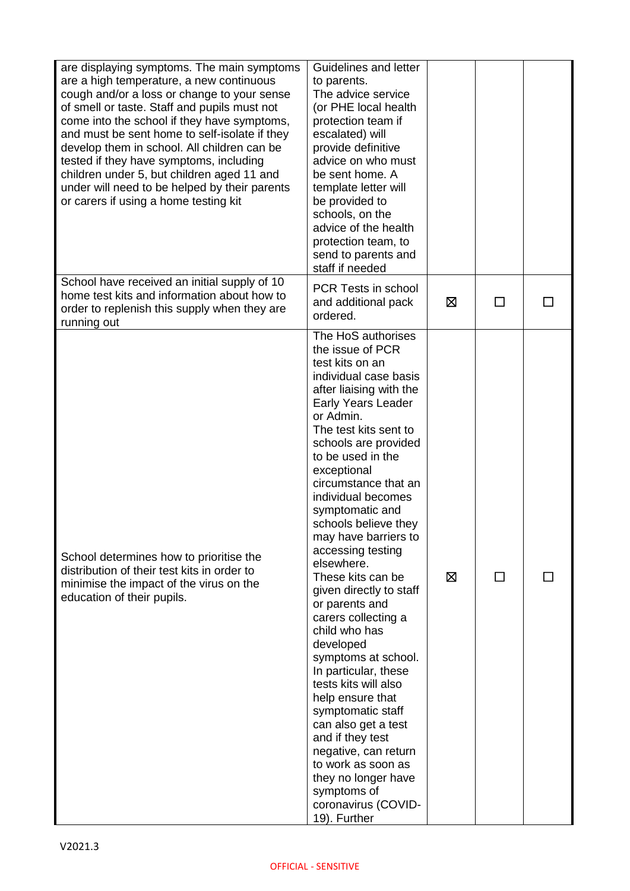| are displaying symptoms. The main symptoms<br>are a high temperature, a new continuous<br>cough and/or a loss or change to your sense<br>of smell or taste. Staff and pupils must not<br>come into the school if they have symptoms,<br>and must be sent home to self-isolate if they<br>develop them in school. All children can be<br>tested if they have symptoms, including<br>children under 5, but children aged 11 and<br>under will need to be helped by their parents<br>or carers if using a home testing kit | Guidelines and letter<br>to parents.<br>The advice service<br>(or PHE local health<br>protection team if<br>escalated) will<br>provide definitive<br>advice on who must<br>be sent home. A<br>template letter will<br>be provided to<br>schools, on the<br>advice of the health<br>protection team, to<br>send to parents and<br>staff if needed                                                                                                                                                                                                                                                                                                                                                                                                                                                       |   |                          |  |
|-------------------------------------------------------------------------------------------------------------------------------------------------------------------------------------------------------------------------------------------------------------------------------------------------------------------------------------------------------------------------------------------------------------------------------------------------------------------------------------------------------------------------|--------------------------------------------------------------------------------------------------------------------------------------------------------------------------------------------------------------------------------------------------------------------------------------------------------------------------------------------------------------------------------------------------------------------------------------------------------------------------------------------------------------------------------------------------------------------------------------------------------------------------------------------------------------------------------------------------------------------------------------------------------------------------------------------------------|---|--------------------------|--|
| School have received an initial supply of 10<br>home test kits and information about how to<br>order to replenish this supply when they are<br>running out                                                                                                                                                                                                                                                                                                                                                              | PCR Tests in school<br>and additional pack<br>ordered.                                                                                                                                                                                                                                                                                                                                                                                                                                                                                                                                                                                                                                                                                                                                                 | ⊠ | <b>I</b>                 |  |
| School determines how to prioritise the<br>distribution of their test kits in order to<br>minimise the impact of the virus on the<br>education of their pupils.                                                                                                                                                                                                                                                                                                                                                         | The HoS authorises<br>the issue of PCR<br>test kits on an<br>individual case basis<br>after liaising with the<br>Early Years Leader<br>or Admin.<br>The test kits sent to<br>schools are provided<br>to be used in the<br>exceptional<br>circumstance that an<br>individual becomes<br>symptomatic and<br>schools believe they<br>may have barriers to<br>accessing testing<br>elsewhere.<br>These kits can be<br>given directly to staff<br>or parents and<br>carers collecting a<br>child who has<br>developed<br>symptoms at school.<br>In particular, these<br>tests kits will also<br>help ensure that<br>symptomatic staff<br>can also get a test<br>and if they test<br>negative, can return<br>to work as soon as<br>they no longer have<br>symptoms of<br>coronavirus (COVID-<br>19). Further | ⊠ | $\overline{\phantom{0}}$ |  |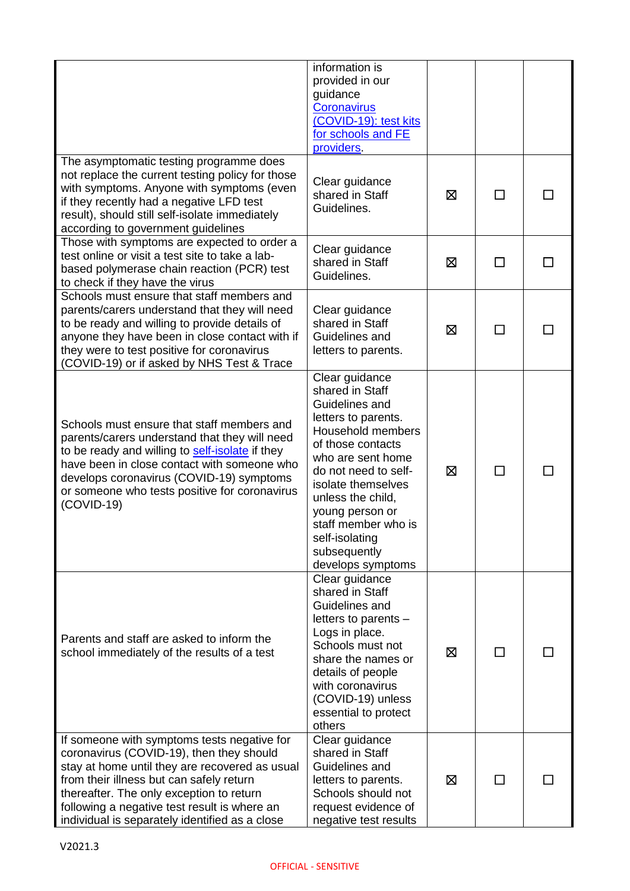|                                                                                                                                                                                                                                                                                                                                     | information is<br>provided in our<br>guidance<br><b>Coronavirus</b><br>(COVID-19): test kits<br>for schools and FE<br>providers.                                                                                                                                                                              |   |        |  |
|-------------------------------------------------------------------------------------------------------------------------------------------------------------------------------------------------------------------------------------------------------------------------------------------------------------------------------------|---------------------------------------------------------------------------------------------------------------------------------------------------------------------------------------------------------------------------------------------------------------------------------------------------------------|---|--------|--|
| The asymptomatic testing programme does<br>not replace the current testing policy for those<br>with symptoms. Anyone with symptoms (even<br>if they recently had a negative LFD test<br>result), should still self-isolate immediately<br>according to government guidelines                                                        | Clear guidance<br>shared in Staff<br>Guidelines.                                                                                                                                                                                                                                                              | ⊠ | П      |  |
| Those with symptoms are expected to order a<br>test online or visit a test site to take a lab-<br>based polymerase chain reaction (PCR) test<br>to check if they have the virus                                                                                                                                                     | Clear guidance<br>shared in Staff<br>Guidelines.                                                                                                                                                                                                                                                              | ⊠ | $\Box$ |  |
| Schools must ensure that staff members and<br>parents/carers understand that they will need<br>to be ready and willing to provide details of<br>anyone they have been in close contact with if<br>they were to test positive for coronavirus<br>(COVID-19) or if asked by NHS Test & Trace                                          | Clear guidance<br>shared in Staff<br>Guidelines and<br>letters to parents.                                                                                                                                                                                                                                    | ⊠ |        |  |
| Schools must ensure that staff members and<br>parents/carers understand that they will need<br>to be ready and willing to self-isolate if they<br>have been in close contact with someone who<br>develops coronavirus (COVID-19) symptoms<br>or someone who tests positive for coronavirus<br>$(COVID-19)$                          | Clear guidance<br>shared in Staff<br>Guidelines and<br>letters to parents.<br>Household members<br>of those contacts<br>who are sent home<br>do not need to self-<br>isolate themselves<br>unless the child,<br>young person or<br>staff member who is<br>self-isolating<br>subsequently<br>develops symptoms | ⊠ | ΙI     |  |
| Parents and staff are asked to inform the<br>school immediately of the results of a test                                                                                                                                                                                                                                            | Clear guidance<br>shared in Staff<br>Guidelines and<br>letters to parents -<br>Logs in place.<br>Schools must not<br>share the names or<br>details of people<br>with coronavirus<br>(COVID-19) unless<br>essential to protect<br>others                                                                       | 区 | $\Box$ |  |
| If someone with symptoms tests negative for<br>coronavirus (COVID-19), then they should<br>stay at home until they are recovered as usual<br>from their illness but can safely return<br>thereafter. The only exception to return<br>following a negative test result is where an<br>individual is separately identified as a close | Clear guidance<br>shared in Staff<br>Guidelines and<br>letters to parents.<br>Schools should not<br>request evidence of<br>negative test results                                                                                                                                                              | ⊠ | ΙI     |  |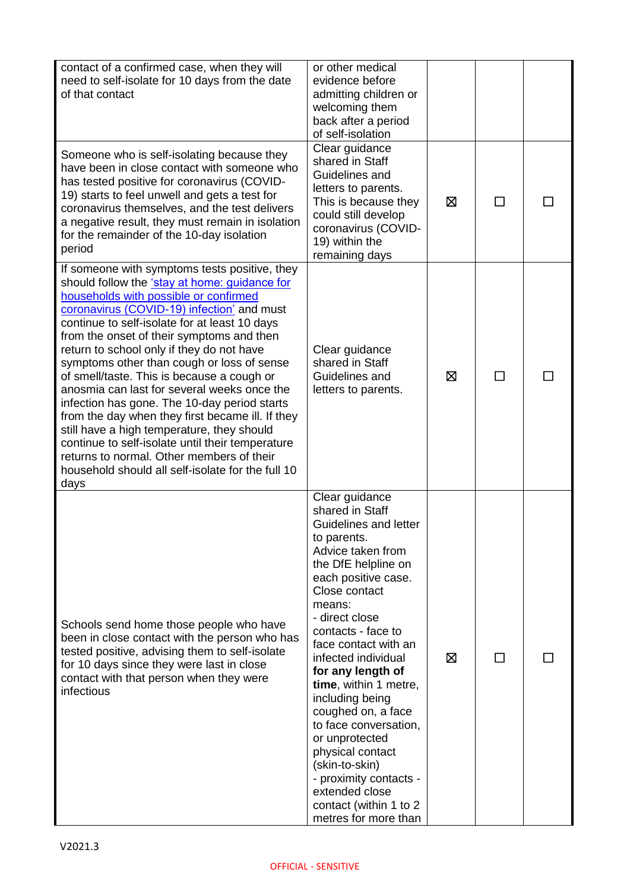| contact of a confirmed case, when they will<br>need to self-isolate for 10 days from the date<br>of that contact                                                                                                                                                                                                                                                                                                                                                                                                                                                                                                                                                                                                                                                                            | or other medical<br>evidence before<br>admitting children or<br>welcoming them<br>back after a period<br>of self-isolation                                                                                                                                                                                                                                                                                                                                                                                                           |   |               |  |
|---------------------------------------------------------------------------------------------------------------------------------------------------------------------------------------------------------------------------------------------------------------------------------------------------------------------------------------------------------------------------------------------------------------------------------------------------------------------------------------------------------------------------------------------------------------------------------------------------------------------------------------------------------------------------------------------------------------------------------------------------------------------------------------------|--------------------------------------------------------------------------------------------------------------------------------------------------------------------------------------------------------------------------------------------------------------------------------------------------------------------------------------------------------------------------------------------------------------------------------------------------------------------------------------------------------------------------------------|---|---------------|--|
| Someone who is self-isolating because they<br>have been in close contact with someone who<br>has tested positive for coronavirus (COVID-<br>19) starts to feel unwell and gets a test for<br>coronavirus themselves, and the test delivers<br>a negative result, they must remain in isolation<br>for the remainder of the 10-day isolation<br>period                                                                                                                                                                                                                                                                                                                                                                                                                                       | Clear guidance<br>shared in Staff<br>Guidelines and<br>letters to parents.<br>This is because they<br>could still develop<br>coronavirus (COVID-<br>19) within the<br>remaining days                                                                                                                                                                                                                                                                                                                                                 | ⊠ | <b>Talent</b> |  |
| If someone with symptoms tests positive, they<br>should follow the 'stay at home: guidance for<br>households with possible or confirmed<br>coronavirus (COVID-19) infection' and must<br>continue to self-isolate for at least 10 days<br>from the onset of their symptoms and then<br>return to school only if they do not have<br>symptoms other than cough or loss of sense<br>of smell/taste. This is because a cough or<br>anosmia can last for several weeks once the<br>infection has gone. The 10-day period starts<br>from the day when they first became ill. If they<br>still have a high temperature, they should<br>continue to self-isolate until their temperature<br>returns to normal. Other members of their<br>household should all self-isolate for the full 10<br>days | Clear guidance<br>shared in Staff<br>Guidelines and<br>letters to parents.                                                                                                                                                                                                                                                                                                                                                                                                                                                           | ⊠ | $\mathbf{I}$  |  |
| Schools send home those people who have<br>been in close contact with the person who has<br>tested positive, advising them to self-isolate<br>for 10 days since they were last in close<br>contact with that person when they were<br>infectious                                                                                                                                                                                                                                                                                                                                                                                                                                                                                                                                            | Clear guidance<br>shared in Staff<br>Guidelines and letter<br>to parents.<br>Advice taken from<br>the DfE helpline on<br>each positive case.<br>Close contact<br>means:<br>- direct close<br>contacts - face to<br>face contact with an<br>infected individual<br>for any length of<br>time, within 1 metre,<br>including being<br>coughed on, a face<br>to face conversation,<br>or unprotected<br>physical contact<br>(skin-to-skin)<br>- proximity contacts -<br>extended close<br>contact (within 1 to 2<br>metres for more than | ⊠ | П             |  |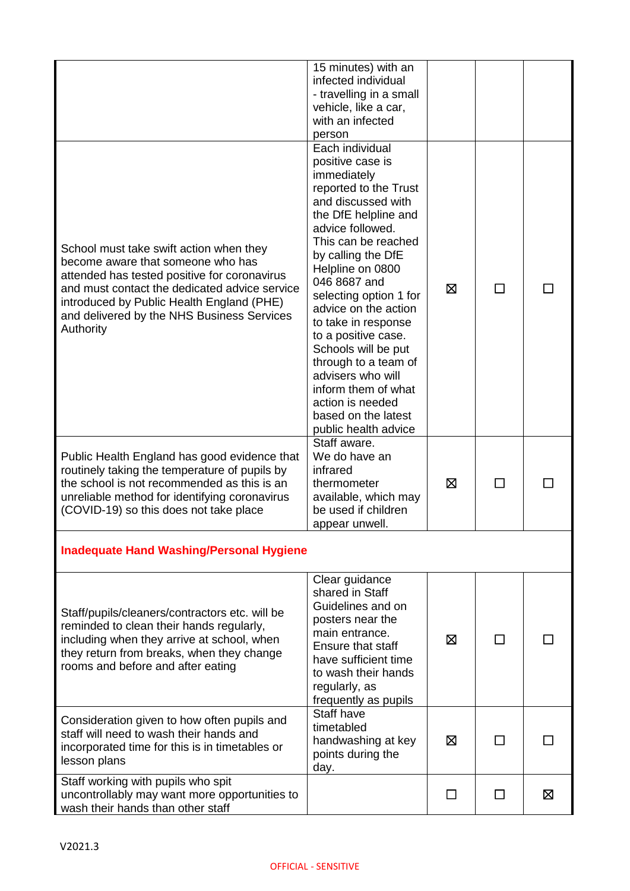|                                                                                                                                                                                                                                                                                       | 15 minutes) with an<br>infected individual<br>- travelling in a small<br>vehicle, like a car,<br>with an infected<br>person                                                                                                                                                                                                                                                                                                                                                                  |         |              |   |
|---------------------------------------------------------------------------------------------------------------------------------------------------------------------------------------------------------------------------------------------------------------------------------------|----------------------------------------------------------------------------------------------------------------------------------------------------------------------------------------------------------------------------------------------------------------------------------------------------------------------------------------------------------------------------------------------------------------------------------------------------------------------------------------------|---------|--------------|---|
| School must take swift action when they<br>become aware that someone who has<br>attended has tested positive for coronavirus<br>and must contact the dedicated advice service<br>introduced by Public Health England (PHE)<br>and delivered by the NHS Business Services<br>Authority | Each individual<br>positive case is<br>immediately<br>reported to the Trust<br>and discussed with<br>the DfE helpline and<br>advice followed.<br>This can be reached<br>by calling the DfE<br>Helpline on 0800<br>046 8687 and<br>selecting option 1 for<br>advice on the action<br>to take in response<br>to a positive case.<br>Schools will be put<br>through to a team of<br>advisers who will<br>inform them of what<br>action is needed<br>based on the latest<br>public health advice | ⊠       | $\mathsf{L}$ |   |
| Public Health England has good evidence that<br>routinely taking the temperature of pupils by<br>the school is not recommended as this is an<br>unreliable method for identifying coronavirus<br>(COVID-19) so this does not take place                                               | Staff aware.<br>We do have an<br>infrared<br>thermometer<br>available, which may<br>be used if children<br>appear unwell.                                                                                                                                                                                                                                                                                                                                                                    | ⊠       | ΙI           |   |
| <b>Inadequate Hand Washing/Personal Hygiene</b>                                                                                                                                                                                                                                       |                                                                                                                                                                                                                                                                                                                                                                                                                                                                                              |         |              |   |
| Staff/pupils/cleaners/contractors etc. will be<br>reminded to clean their hands regularly,<br>including when they arrive at school, when<br>they return from breaks, when they change<br>rooms and before and after eating                                                            | Clear guidance<br>shared in Staff<br>Guidelines and on<br>posters near the<br>main entrance.<br><b>Ensure that staff</b><br>have sufficient time<br>to wash their hands<br>regularly, as<br>frequently as pupils                                                                                                                                                                                                                                                                             | ⊠       |              |   |
| Consideration given to how often pupils and<br>staff will need to wash their hands and<br>incorporated time for this is in timetables or<br>lesson plans                                                                                                                              | Staff have<br>timetabled<br>handwashing at key<br>points during the<br>day.                                                                                                                                                                                                                                                                                                                                                                                                                  | ⊠       |              |   |
| Staff working with pupils who spit<br>uncontrollably may want more opportunities to<br>wash their hands than other staff                                                                                                                                                              |                                                                                                                                                                                                                                                                                                                                                                                                                                                                                              | $\perp$ | П            | ⊠ |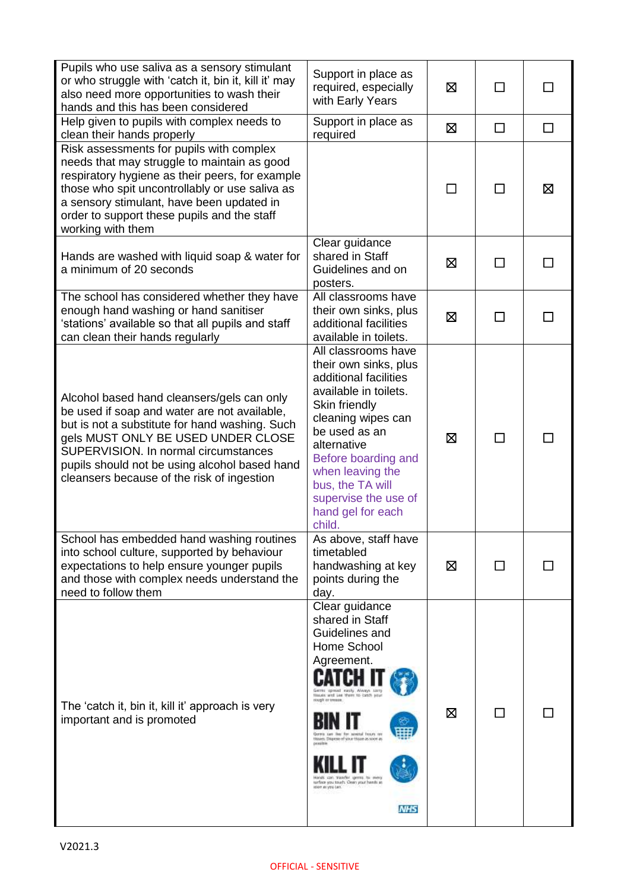| Pupils who use saliva as a sensory stimulant<br>or who struggle with 'catch it, bin it, kill it' may<br>also need more opportunities to wash their<br>hands and this has been considered                                                                                                                                  | Support in place as<br>required, especially<br>with Early Years                                                                                                                                                                                                                                                                                                            | ⊠       | П            | ΙI |
|---------------------------------------------------------------------------------------------------------------------------------------------------------------------------------------------------------------------------------------------------------------------------------------------------------------------------|----------------------------------------------------------------------------------------------------------------------------------------------------------------------------------------------------------------------------------------------------------------------------------------------------------------------------------------------------------------------------|---------|--------------|----|
| Help given to pupils with complex needs to<br>clean their hands properly                                                                                                                                                                                                                                                  | Support in place as<br>required                                                                                                                                                                                                                                                                                                                                            | 区       | $\Box$       | П  |
| Risk assessments for pupils with complex<br>needs that may struggle to maintain as good<br>respiratory hygiene as their peers, for example<br>those who spit uncontrollably or use saliva as<br>a sensory stimulant, have been updated in<br>order to support these pupils and the staff<br>working with them             |                                                                                                                                                                                                                                                                                                                                                                            | $\perp$ | П            | ⊠  |
| Hands are washed with liquid soap & water for<br>a minimum of 20 seconds                                                                                                                                                                                                                                                  | Clear guidance<br>shared in Staff<br>Guidelines and on<br>posters.                                                                                                                                                                                                                                                                                                         | ⊠       | $\mathbf{I}$ |    |
| The school has considered whether they have<br>enough hand washing or hand sanitiser<br>'stations' available so that all pupils and staff<br>can clean their hands regularly                                                                                                                                              | All classrooms have<br>their own sinks, plus<br>additional facilities<br>available in toilets.                                                                                                                                                                                                                                                                             | 冈       | $\mathbf{I}$ |    |
| Alcohol based hand cleansers/gels can only<br>be used if soap and water are not available,<br>but is not a substitute for hand washing. Such<br>gels MUST ONLY BE USED UNDER CLOSE<br>SUPERVISION. In normal circumstances<br>pupils should not be using alcohol based hand<br>cleansers because of the risk of ingestion | All classrooms have<br>their own sinks, plus<br>additional facilities<br>available in toilets.<br>Skin friendly<br>cleaning wipes can<br>be used as an<br>alternative<br>Before boarding and<br>when leaving the<br>bus, the TA will<br>supervise the use of<br>hand gel for each<br>child.                                                                                | ⊠       | П            |    |
| School has embedded hand washing routines<br>into school culture, supported by behaviour<br>expectations to help ensure younger pupils<br>and those with complex needs understand the<br>need to follow them                                                                                                              | As above, staff have<br>timetabled<br>handwashing at key<br>points during the<br>day.                                                                                                                                                                                                                                                                                      | ⊠       |              |    |
| The 'catch it, bin it, kill it' approach is very<br>important and is promoted                                                                                                                                                                                                                                             | Clear guidance<br>shared in Staff<br>Guidelines and<br>Home School<br>Agreement.<br>Gerras ignised easily Always said<br>Houses and Lee them to catch you<br>slough or treasur.<br>for weeks frouts or<br>Useam. Dispese of your those as soon as<br>positio<br>ings can transfer germs to mery<br>sarboa you touch. Clean your hands at<br>loon as you can.<br><b>NHS</b> | ⊠       | П            |    |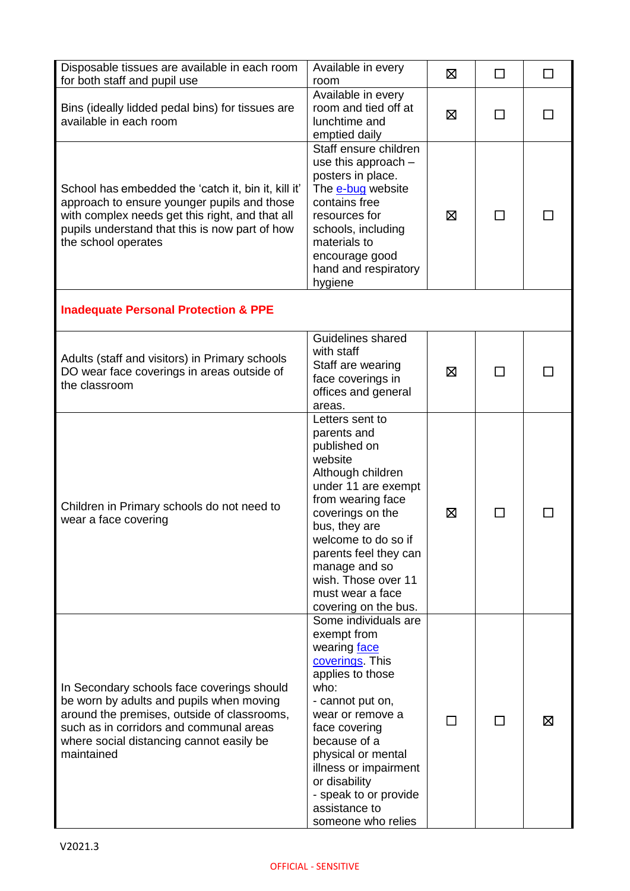| Disposable tissues are available in each room<br>for both staff and pupil use                                                                                                                                                              | Available in every<br>room                                                                                                                                                                                                                                                                                 | ⊠  | □            | $\Box$ |
|--------------------------------------------------------------------------------------------------------------------------------------------------------------------------------------------------------------------------------------------|------------------------------------------------------------------------------------------------------------------------------------------------------------------------------------------------------------------------------------------------------------------------------------------------------------|----|--------------|--------|
| Bins (ideally lidded pedal bins) for tissues are<br>available in each room                                                                                                                                                                 | Available in every<br>room and tied off at<br>lunchtime and<br>emptied daily                                                                                                                                                                                                                               | ⊠  | П            |        |
| School has embedded the 'catch it, bin it, kill it'<br>approach to ensure younger pupils and those<br>with complex needs get this right, and that all<br>pupils understand that this is now part of how<br>the school operates             | Staff ensure children<br>use this approach $-$<br>posters in place.<br>The e-bug website<br>contains free<br>resources for<br>schools, including<br>materials to<br>encourage good<br>hand and respiratory<br>hygiene                                                                                      | ⊠  |              |        |
| <b>Inadequate Personal Protection &amp; PPE</b>                                                                                                                                                                                            |                                                                                                                                                                                                                                                                                                            |    |              |        |
| Adults (staff and visitors) in Primary schools<br>DO wear face coverings in areas outside of<br>the classroom                                                                                                                              | Guidelines shared<br>with staff<br>Staff are wearing<br>face coverings in<br>offices and general<br>areas.                                                                                                                                                                                                 | ⊠  | П            |        |
| Children in Primary schools do not need to<br>wear a face covering                                                                                                                                                                         | Letters sent to<br>parents and<br>published on<br>website<br>Although children<br>under 11 are exempt<br>from wearing face<br>coverings on the<br>bus, they are<br>welcome to do so if<br>parents feel they can<br>manage and so<br>wish. Those over 11<br>must wear a face<br>covering on the bus.        | ⊠  |              |        |
| In Secondary schools face coverings should<br>be worn by adults and pupils when moving<br>around the premises, outside of classrooms,<br>such as in corridors and communal areas<br>where social distancing cannot easily be<br>maintained | Some individuals are<br>exempt from<br>wearing face<br>coverings This<br>applies to those<br>who:<br>- cannot put on,<br>wear or remove a<br>face covering<br>because of a<br>physical or mental<br>illness or impairment<br>or disability<br>- speak to or provide<br>assistance to<br>someone who relies | ΙI | $\mathsf{L}$ | ⊠      |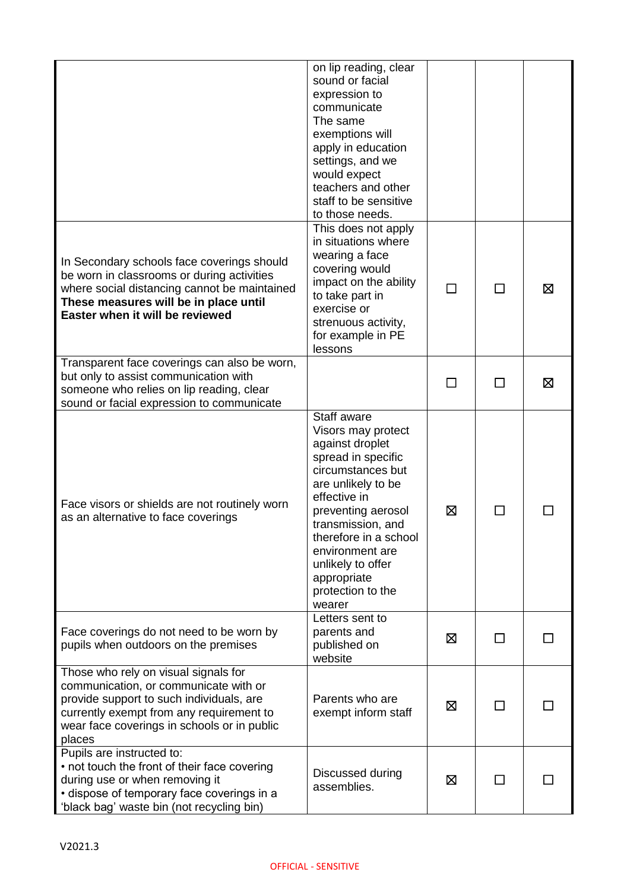|                                                                                                                                                                                                                                | on lip reading, clear<br>sound or facial<br>expression to<br>communicate<br>The same<br>exemptions will<br>apply in education<br>settings, and we<br>would expect<br>teachers and other<br>staff to be sensitive<br>to those needs.                                                             |         |              |   |
|--------------------------------------------------------------------------------------------------------------------------------------------------------------------------------------------------------------------------------|-------------------------------------------------------------------------------------------------------------------------------------------------------------------------------------------------------------------------------------------------------------------------------------------------|---------|--------------|---|
| In Secondary schools face coverings should<br>be worn in classrooms or during activities<br>where social distancing cannot be maintained<br>These measures will be in place until<br>Easter when it will be reviewed           | This does not apply<br>in situations where<br>wearing a face<br>covering would<br>impact on the ability<br>to take part in<br>exercise or<br>strenuous activity,<br>for example in PE<br>lessons                                                                                                |         | ΙI           | ⊠ |
| Transparent face coverings can also be worn,<br>but only to assist communication with<br>someone who relies on lip reading, clear<br>sound or facial expression to communicate                                                 |                                                                                                                                                                                                                                                                                                 | $\perp$ | П            | Σ |
| Face visors or shields are not routinely worn<br>as an alternative to face coverings                                                                                                                                           | Staff aware<br>Visors may protect<br>against droplet<br>spread in specific<br>circumstances but<br>are unlikely to be<br>effective in<br>preventing aerosol<br>transmission, and<br>therefore in a school<br>environment are<br>unlikely to offer<br>appropriate<br>protection to the<br>wearer | ⊠       | $\mathbf{I}$ |   |
| Face coverings do not need to be worn by<br>pupils when outdoors on the premises                                                                                                                                               | Letters sent to<br>parents and<br>published on<br>website                                                                                                                                                                                                                                       | ⊠       | П            |   |
| Those who rely on visual signals for<br>communication, or communicate with or<br>provide support to such individuals, are<br>currently exempt from any requirement to<br>wear face coverings in schools or in public<br>places | Parents who are<br>exempt inform staff                                                                                                                                                                                                                                                          | ⊠       | ΙI           |   |
| Pupils are instructed to:<br>• not touch the front of their face covering<br>during use or when removing it<br>· dispose of temporary face coverings in a<br>'black bag' waste bin (not recycling bin)                         | Discussed during<br>assemblies.                                                                                                                                                                                                                                                                 | ⊠       | П            |   |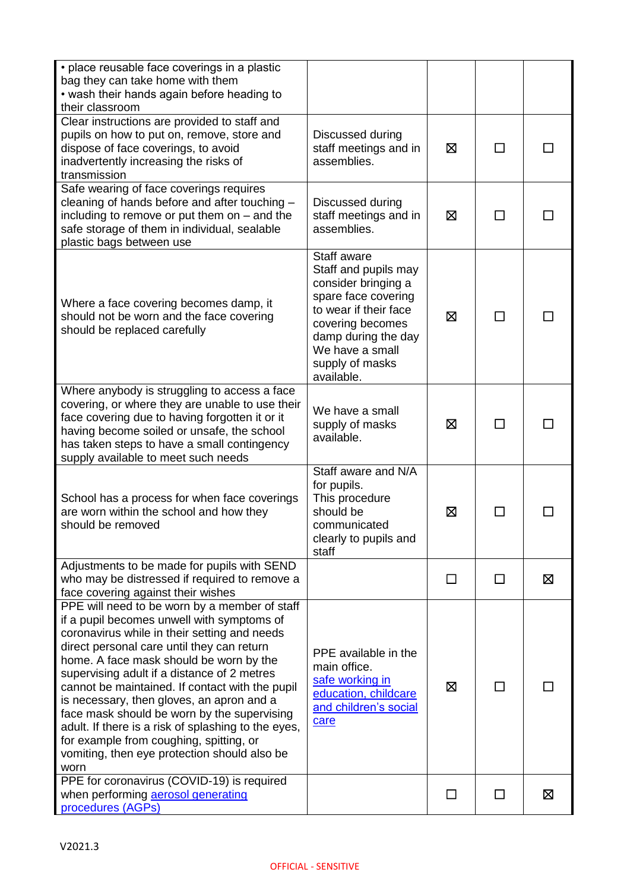| • place reusable face coverings in a plastic<br>bag they can take home with them<br>• wash their hands again before heading to<br>their classroom                                                                                                                                                                                                                                                                                                                                                                                                                                            |                                                                                                                                                                                                           |   |                |   |
|----------------------------------------------------------------------------------------------------------------------------------------------------------------------------------------------------------------------------------------------------------------------------------------------------------------------------------------------------------------------------------------------------------------------------------------------------------------------------------------------------------------------------------------------------------------------------------------------|-----------------------------------------------------------------------------------------------------------------------------------------------------------------------------------------------------------|---|----------------|---|
| Clear instructions are provided to staff and<br>pupils on how to put on, remove, store and<br>dispose of face coverings, to avoid<br>inadvertently increasing the risks of<br>transmission                                                                                                                                                                                                                                                                                                                                                                                                   | Discussed during<br>staff meetings and in<br>assemblies.                                                                                                                                                  | 区 |                |   |
| Safe wearing of face coverings requires<br>cleaning of hands before and after touching -<br>including to remove or put them on $-$ and the<br>safe storage of them in individual, sealable<br>plastic bags between use                                                                                                                                                                                                                                                                                                                                                                       | Discussed during<br>staff meetings and in<br>assemblies.                                                                                                                                                  | ⊠ | $\blacksquare$ |   |
| Where a face covering becomes damp, it<br>should not be worn and the face covering<br>should be replaced carefully                                                                                                                                                                                                                                                                                                                                                                                                                                                                           | Staff aware<br>Staff and pupils may<br>consider bringing a<br>spare face covering<br>to wear if their face<br>covering becomes<br>damp during the day<br>We have a small<br>supply of masks<br>available. | ⊠ |                |   |
| Where anybody is struggling to access a face<br>covering, or where they are unable to use their<br>face covering due to having forgotten it or it<br>having become soiled or unsafe, the school<br>has taken steps to have a small contingency<br>supply available to meet such needs                                                                                                                                                                                                                                                                                                        | We have a small<br>supply of masks<br>available.                                                                                                                                                          | ⊠ | $\mathbf{I}$   |   |
| School has a process for when face coverings<br>are worn within the school and how they<br>should be removed                                                                                                                                                                                                                                                                                                                                                                                                                                                                                 | Staff aware and N/A<br>for pupils.<br>This procedure<br>should be<br>communicated<br>clearly to pupils and<br>staff                                                                                       | ⊠ |                |   |
| Adjustments to be made for pupils with SEND<br>who may be distressed if required to remove a<br>face covering against their wishes                                                                                                                                                                                                                                                                                                                                                                                                                                                           |                                                                                                                                                                                                           | П | П              | ⊠ |
| PPE will need to be worn by a member of staff<br>if a pupil becomes unwell with symptoms of<br>coronavirus while in their setting and needs<br>direct personal care until they can return<br>home. A face mask should be worn by the<br>supervising adult if a distance of 2 metres<br>cannot be maintained. If contact with the pupil<br>is necessary, then gloves, an apron and a<br>face mask should be worn by the supervising<br>adult. If there is a risk of splashing to the eyes,<br>for example from coughing, spitting, or<br>vomiting, then eye protection should also be<br>worn | PPE available in the<br>main office.<br>safe working in<br>education, childcare<br>and children's social<br>care                                                                                          | 区 |                |   |
| PPE for coronavirus (COVID-19) is required<br>when performing aerosol generating<br>procedures (AGPs)                                                                                                                                                                                                                                                                                                                                                                                                                                                                                        |                                                                                                                                                                                                           |   |                | ⊠ |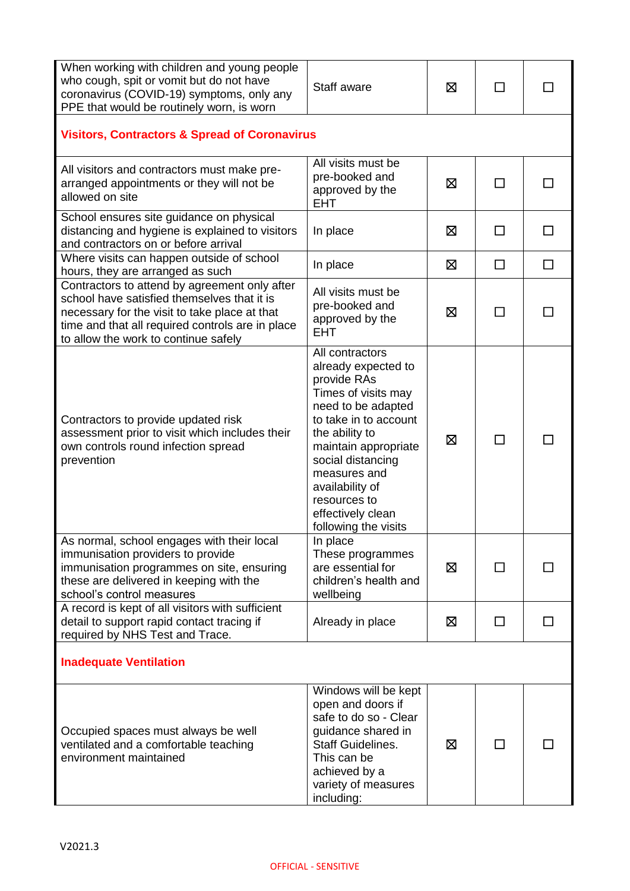| When working with children and young people<br>who cough, spit or vomit but do not have<br>coronavirus (COVID-19) symptoms, only any<br>PPE that would be routinely worn, is worn                                                         | Staff aware                                                                                                                                                                                                                                                                                | ⊠ | $\perp$ |    |
|-------------------------------------------------------------------------------------------------------------------------------------------------------------------------------------------------------------------------------------------|--------------------------------------------------------------------------------------------------------------------------------------------------------------------------------------------------------------------------------------------------------------------------------------------|---|---------|----|
| <b>Visitors, Contractors &amp; Spread of Coronavirus</b>                                                                                                                                                                                  |                                                                                                                                                                                                                                                                                            |   |         |    |
| All visitors and contractors must make pre-<br>arranged appointments or they will not be<br>allowed on site                                                                                                                               | All visits must be<br>pre-booked and<br>approved by the<br><b>EHT</b>                                                                                                                                                                                                                      | ⊠ | П       |    |
| School ensures site guidance on physical<br>distancing and hygiene is explained to visitors<br>and contractors on or before arrival                                                                                                       | In place                                                                                                                                                                                                                                                                                   | ⊠ | П       | ΙI |
| Where visits can happen outside of school<br>hours, they are arranged as such                                                                                                                                                             | In place                                                                                                                                                                                                                                                                                   | ⊠ | П       | П  |
| Contractors to attend by agreement only after<br>school have satisfied themselves that it is<br>necessary for the visit to take place at that<br>time and that all required controls are in place<br>to allow the work to continue safely | All visits must be<br>pre-booked and<br>approved by the<br><b>EHT</b>                                                                                                                                                                                                                      | ⊠ | ΙI      |    |
| Contractors to provide updated risk<br>assessment prior to visit which includes their<br>own controls round infection spread<br>prevention                                                                                                | All contractors<br>already expected to<br>provide RAs<br>Times of visits may<br>need to be adapted<br>to take in to account<br>the ability to<br>maintain appropriate<br>social distancing<br>measures and<br>availability of<br>resources to<br>effectively clean<br>following the visits | ⊠ |         |    |
| As normal, school engages with their local<br>immunisation providers to provide<br>immunisation programmes on site, ensuring<br>these are delivered in keeping with the<br>school's control measures                                      | In place<br>These programmes<br>are essential for<br>children's health and<br>wellbeing                                                                                                                                                                                                    | ⊠ | $\Box$  |    |
| A record is kept of all visitors with sufficient<br>detail to support rapid contact tracing if<br>required by NHS Test and Trace.                                                                                                         | Already in place                                                                                                                                                                                                                                                                           | ⊠ | $\perp$ |    |
| <b>Inadequate Ventilation</b>                                                                                                                                                                                                             |                                                                                                                                                                                                                                                                                            |   |         |    |
| Occupied spaces must always be well<br>ventilated and a comfortable teaching<br>environment maintained                                                                                                                                    | Windows will be kept<br>open and doors if<br>safe to do so - Clear<br>guidance shared in<br><b>Staff Guidelines.</b><br>This can be<br>achieved by a<br>variety of measures<br>including:                                                                                                  | ⊠ |         |    |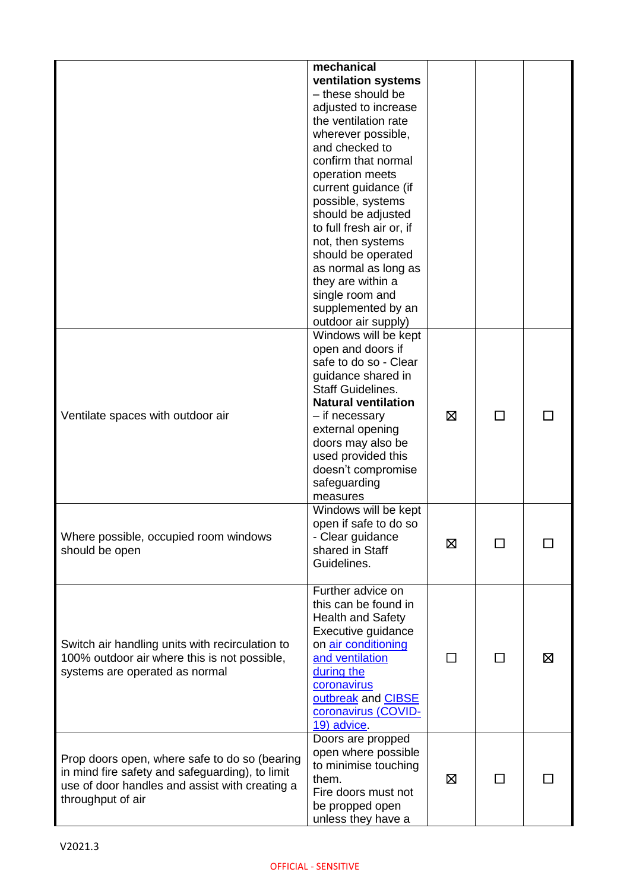|                                                                                                                                                                         | mechanical<br>ventilation systems<br>- these should be<br>adjusted to increase<br>the ventilation rate<br>wherever possible,<br>and checked to<br>confirm that normal<br>operation meets<br>current guidance (if<br>possible, systems<br>should be adjusted                           |              |              |   |
|-------------------------------------------------------------------------------------------------------------------------------------------------------------------------|---------------------------------------------------------------------------------------------------------------------------------------------------------------------------------------------------------------------------------------------------------------------------------------|--------------|--------------|---|
|                                                                                                                                                                         | to full fresh air or, if<br>not, then systems<br>should be operated<br>as normal as long as<br>they are within a<br>single room and<br>supplemented by an<br>outdoor air supply)                                                                                                      |              |              |   |
| Ventilate spaces with outdoor air                                                                                                                                       | Windows will be kept<br>open and doors if<br>safe to do so - Clear<br>guidance shared in<br><b>Staff Guidelines.</b><br><b>Natural ventilation</b><br>- if necessary<br>external opening<br>doors may also be<br>used provided this<br>doesn't compromise<br>safeguarding<br>measures | ⊠            | $\mathsf{L}$ |   |
| Where possible, occupied room windows<br>should be open                                                                                                                 | Windows will be kept<br>open if safe to do so<br>- Clear guidance<br>shared in Staff<br>Guidelines.                                                                                                                                                                                   | ⊠            |              |   |
| Switch air handling units with recirculation to<br>100% outdoor air where this is not possible,<br>systems are operated as normal                                       | Further advice on<br>this can be found in<br><b>Health and Safety</b><br>Executive guidance<br>on air conditioning<br>and ventilation<br>during the<br>coronavirus<br>outbreak and CIBSE<br>coronavirus (COVID-<br>19) advice.                                                        | $\mathsf{L}$ | П            | ⊠ |
| Prop doors open, where safe to do so (bearing<br>in mind fire safety and safeguarding), to limit<br>use of door handles and assist with creating a<br>throughput of air | Doors are propped<br>open where possible<br>to minimise touching<br>them.<br>Fire doors must not<br>be propped open<br>unless they have a                                                                                                                                             | ⊠            | $\mathsf{L}$ |   |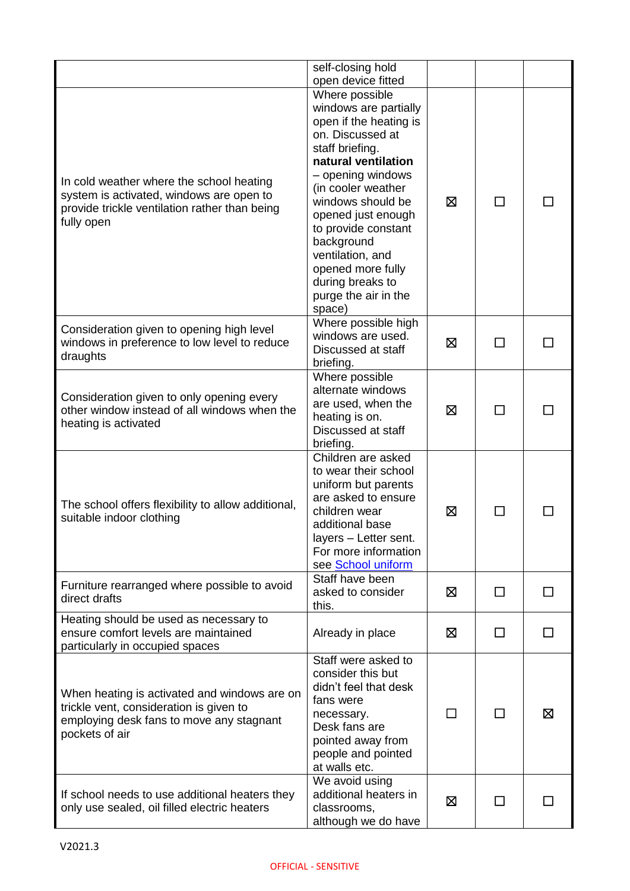|                                                                                                                                                       | self-closing hold<br>open device fitted                                                                                                                                                                                                                                                                                                                   |   |               |   |
|-------------------------------------------------------------------------------------------------------------------------------------------------------|-----------------------------------------------------------------------------------------------------------------------------------------------------------------------------------------------------------------------------------------------------------------------------------------------------------------------------------------------------------|---|---------------|---|
| In cold weather where the school heating<br>system is activated, windows are open to<br>provide trickle ventilation rather than being<br>fully open   | Where possible<br>windows are partially<br>open if the heating is<br>on. Discussed at<br>staff briefing.<br>natural ventilation<br>- opening windows<br>(in cooler weather<br>windows should be<br>opened just enough<br>to provide constant<br>background<br>ventilation, and<br>opened more fully<br>during breaks to<br>purge the air in the<br>space) | ⊠ | $\mathcal{L}$ |   |
| Consideration given to opening high level<br>windows in preference to low level to reduce<br>draughts                                                 | Where possible high<br>windows are used.<br>Discussed at staff<br>briefing.                                                                                                                                                                                                                                                                               | ⊠ | П             |   |
| Consideration given to only opening every<br>other window instead of all windows when the<br>heating is activated                                     | Where possible<br>alternate windows<br>are used, when the<br>heating is on.<br>Discussed at staff<br>briefing.                                                                                                                                                                                                                                            | ⊠ |               |   |
| The school offers flexibility to allow additional,<br>suitable indoor clothing                                                                        | Children are asked<br>to wear their school<br>uniform but parents<br>are asked to ensure<br>children wear<br>additional base<br>layers - Letter sent.<br>For more information<br>see School uniform                                                                                                                                                       | ⊠ |               |   |
| Furniture rearranged where possible to avoid<br>direct drafts                                                                                         | Staff have been<br>asked to consider<br>this.                                                                                                                                                                                                                                                                                                             | ⊠ | ΙI            |   |
| Heating should be used as necessary to<br>ensure comfort levels are maintained<br>particularly in occupied spaces                                     | Already in place                                                                                                                                                                                                                                                                                                                                          | ⊠ | П             |   |
| When heating is activated and windows are on<br>trickle vent, consideration is given to<br>employing desk fans to move any stagnant<br>pockets of air | Staff were asked to<br>consider this but<br>didn't feel that desk<br>fans were<br>necessary.<br>Desk fans are<br>pointed away from<br>people and pointed<br>at walls etc.                                                                                                                                                                                 |   |               | ⊠ |
| If school needs to use additional heaters they<br>only use sealed, oil filled electric heaters                                                        | We avoid using<br>additional heaters in<br>classrooms,<br>although we do have                                                                                                                                                                                                                                                                             | ⊠ |               |   |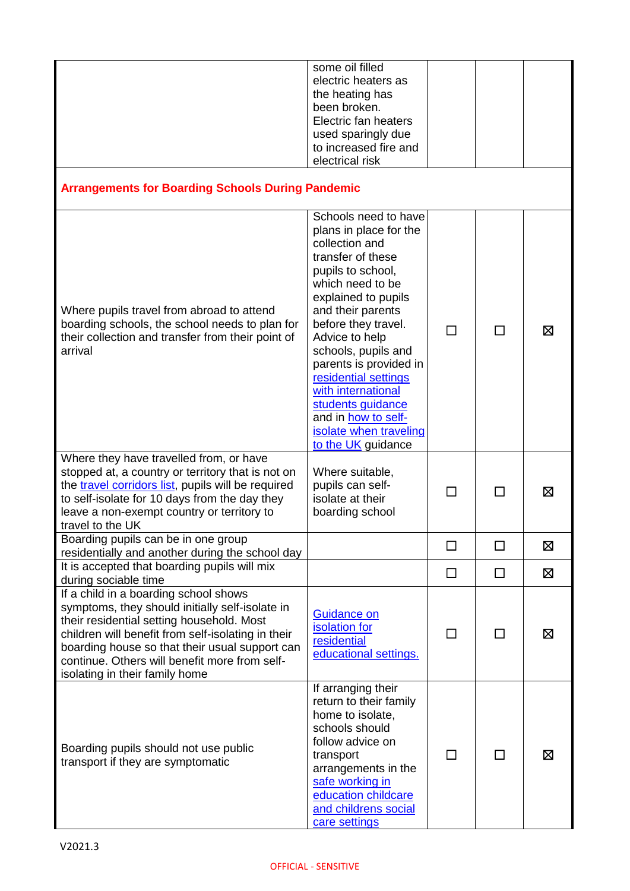| <b>Arrangements for Boarding Schools During Pandemic</b>                                                                                                                                                                                                                                                                                                 | some oil filled<br>electric heaters as<br>the heating has<br>been broken.<br>Electric fan heaters<br>used sparingly due<br>to increased fire and<br>electrical risk                                                                                                                                                                                                                                            |    |                |   |
|----------------------------------------------------------------------------------------------------------------------------------------------------------------------------------------------------------------------------------------------------------------------------------------------------------------------------------------------------------|----------------------------------------------------------------------------------------------------------------------------------------------------------------------------------------------------------------------------------------------------------------------------------------------------------------------------------------------------------------------------------------------------------------|----|----------------|---|
|                                                                                                                                                                                                                                                                                                                                                          |                                                                                                                                                                                                                                                                                                                                                                                                                |    |                |   |
| Where pupils travel from abroad to attend<br>boarding schools, the school needs to plan for<br>their collection and transfer from their point of<br>arrival                                                                                                                                                                                              | Schools need to have<br>plans in place for the<br>collection and<br>transfer of these<br>pupils to school,<br>which need to be<br>explained to pupils<br>and their parents<br>before they travel.<br>Advice to help<br>schools, pupils and<br>parents is provided in<br>residential settings<br>with international<br>students guidance<br>and in how to self-<br>isolate when traveling<br>to the UK guidance |    | $\Box$         | Χ |
| Where they have travelled from, or have<br>stopped at, a country or territory that is not on<br>the travel corridors list, pupils will be required<br>to self-isolate for 10 days from the day they<br>leave a non-exempt country or territory to<br>travel to the UK                                                                                    | Where suitable,<br>pupils can self-<br>isolate at their<br>boarding school                                                                                                                                                                                                                                                                                                                                     | ΙI | ΙI             | ⊠ |
| Boarding pupils can be in one group<br>residentially and another during the school day                                                                                                                                                                                                                                                                   |                                                                                                                                                                                                                                                                                                                                                                                                                |    | П              | 区 |
| It is accepted that boarding pupils will mix                                                                                                                                                                                                                                                                                                             |                                                                                                                                                                                                                                                                                                                                                                                                                | □  | □              | ⊠ |
| during sociable time<br>If a child in a boarding school shows<br>symptoms, they should initially self-isolate in<br>their residential setting household. Most<br>children will benefit from self-isolating in their<br>boarding house so that their usual support can<br>continue. Others will benefit more from self-<br>isolating in their family home | Guidance on<br>isolation for<br>residential<br>educational settings.                                                                                                                                                                                                                                                                                                                                           |    | $\blacksquare$ | ⊠ |
| Boarding pupils should not use public<br>transport if they are symptomatic                                                                                                                                                                                                                                                                               | If arranging their<br>return to their family<br>home to isolate,<br>schools should<br>follow advice on<br>transport<br>arrangements in the<br>safe working in<br>education childcare<br>and childrens social<br>care settings                                                                                                                                                                                  |    | П              | ⊠ |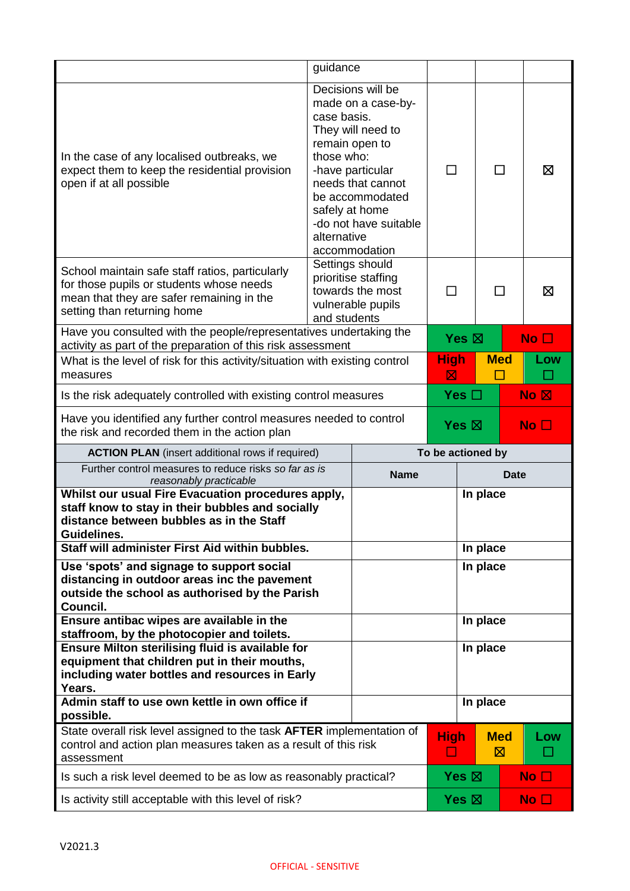|                                                                                                                                                                                                            | guidance                                                                                                                                                                                                                          |             |                                    |          |                 |                 |
|------------------------------------------------------------------------------------------------------------------------------------------------------------------------------------------------------------|-----------------------------------------------------------------------------------------------------------------------------------------------------------------------------------------------------------------------------------|-------------|------------------------------------|----------|-----------------|-----------------|
| In the case of any localised outbreaks, we<br>expect them to keep the residential provision<br>open if at all possible                                                                                     | Decisions will be<br>made on a case-by-<br>case basis.<br>They will need to<br>remain open to<br>those who:<br>-have particular<br>needs that cannot<br>be accommodated<br>safely at home<br>-do not have suitable<br>alternative |             | $\perp$                            |          | П               | ⊠               |
| School maintain safe staff ratios, particularly<br>for those pupils or students whose needs<br>mean that they are safer remaining in the<br>setting than returning home                                    | accommodation<br>Settings should<br>prioritise staffing<br>towards the most<br>vulnerable pupils<br>and students                                                                                                                  |             |                                    |          | ΙI              | ⊠               |
| Have you consulted with the people/representatives undertaking the<br>activity as part of the preparation of this risk assessment                                                                          |                                                                                                                                                                                                                                   |             | Yes $\boxtimes$                    |          |                 | No <sub>1</sub> |
| What is the level of risk for this activity/situation with existing control<br>measures                                                                                                                    |                                                                                                                                                                                                                                   |             | <b>High</b><br>$\boxtimes$         |          | <b>Med</b>      | Low             |
| Is the risk adequately controlled with existing control measures                                                                                                                                           |                                                                                                                                                                                                                                   |             | Yes $\square$                      |          |                 | No <sub>N</sub> |
| Have you identified any further control measures needed to control<br>the risk and recorded them in the action plan                                                                                        |                                                                                                                                                                                                                                   |             | Yes $\boxtimes$<br>No <sub>1</sub> |          |                 |                 |
|                                                                                                                                                                                                            |                                                                                                                                                                                                                                   |             |                                    |          |                 |                 |
| <b>ACTION PLAN</b> (insert additional rows if required)                                                                                                                                                    |                                                                                                                                                                                                                                   |             | To be actioned by                  |          |                 |                 |
| Further control measures to reduce risks so far as is<br>reasonably practicable                                                                                                                            |                                                                                                                                                                                                                                   | <b>Name</b> |                                    |          | <b>Date</b>     |                 |
| Whilst our usual Fire Evacuation procedures apply,<br>staff know to stay in their bubbles and socially<br>distance between bubbles as in the Staff<br>Guidelines.                                          |                                                                                                                                                                                                                                   |             |                                    | In place |                 |                 |
| Staff will administer First Aid within bubbles.                                                                                                                                                            |                                                                                                                                                                                                                                   |             |                                    | In place |                 |                 |
| Use 'spots' and signage to support social<br>distancing in outdoor areas inc the pavement<br>outside the school as authorised by the Parish<br>Council.                                                    |                                                                                                                                                                                                                                   |             |                                    | In place |                 |                 |
| Ensure antibac wipes are available in the                                                                                                                                                                  |                                                                                                                                                                                                                                   |             |                                    | In place |                 |                 |
| staffroom, by the photocopier and toilets.<br>Ensure Milton sterilising fluid is available for<br>equipment that children put in their mouths,<br>including water bottles and resources in Early<br>Years. |                                                                                                                                                                                                                                   |             |                                    | In place |                 |                 |
| Admin staff to use own kettle in own office if<br>possible.                                                                                                                                                |                                                                                                                                                                                                                                   |             |                                    | In place |                 |                 |
| State overall risk level assigned to the task AFTER implementation of<br>control and action plan measures taken as a result of this risk<br>assessment                                                     |                                                                                                                                                                                                                                   |             | <b>High</b><br>ш                   |          | <b>Med</b><br>⊠ | Low             |
| Is such a risk level deemed to be as low as reasonably practical?                                                                                                                                          |                                                                                                                                                                                                                                   |             | Yes $\boxtimes$                    |          |                 | No <sub>1</sub> |